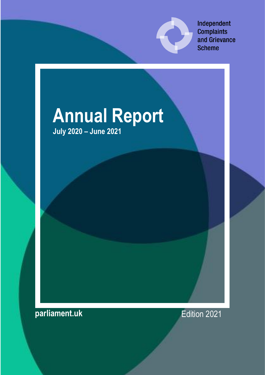

Independent **Complaints** and Grievance **Scheme** 

# **Annual Report July 2020 – June 2021**

**parliament.uk** Edition 2021

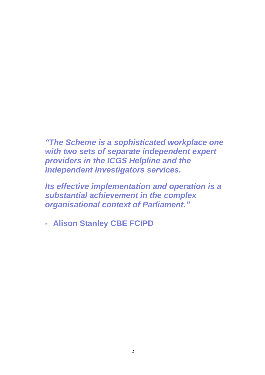*"The Scheme is a sophisticated workplace one with two sets of separate independent expert providers in the ICGS Helpline and the Independent Investigators services.* 

*Its effective implementation and operation is a substantial achievement in the complex organisational context of Parliament."*

**- Alison Stanley CBE FCIPD**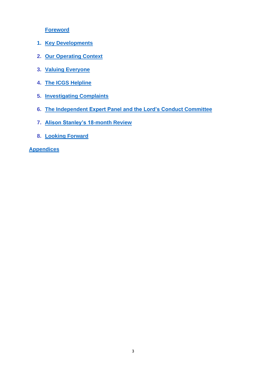**Foreword**

- **1. Key Developments**
- **2. Our Operating Context**
- **3. [Valuing Everyone](#page-11-0)**
- **4. [The](#page-16-0) ICGS Helpline**
- <span id="page-2-0"></span>**5. Investigating Complaints**
- **6. [The Independent Expert Panel and the Lord's Conduct Committee](#page-31-0)**
- **7. [Alison Stanley's 18-month Review](#page-2-0)**
- **8. [Looking Forward](#page-31-1)**

**Appendices**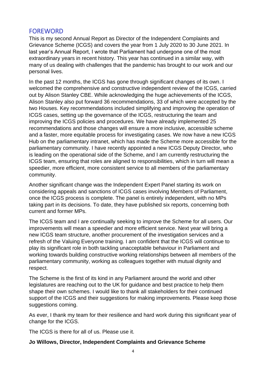# **FOREWORD**

This is my second Annual Report as Director of the Independent Complaints and Grievance Scheme (ICGS) and covers the year from 1 July 2020 to 30 June 2021. In last year's Annual Report, I wrote that Parliament had undergone one of the most extraordinary years in recent history. This year has continued in a similar way, with many of us dealing with challenges that the pandemic has brought to our work and our personal lives.

In the past 12 months, the ICGS has gone through significant changes of its own. I welcomed the comprehensive and constructive independent review of the ICGS, carried out by Alison Stanley CBE. While acknowledging the huge achievements of the ICGS, Alison Stanley also put forward 36 recommendations, 33 of which were accepted by the two Houses. Key recommendations included simplifying and improving the operation of ICGS cases, setting up the governance of the ICGS, restructuring the team and improving the ICGS policies and procedures. We have already implemented 25 recommendations and those changes will ensure a more inclusive, accessible scheme and a faster, more equitable process for investigating cases. We now have a new ICGS Hub on the parliamentary intranet, which has made the Scheme more accessible for the parliamentary community. I have recently appointed a new ICGS Deputy Director, who is leading on the operational side of the Scheme, and I am currently restructuring the ICGS team, ensuring that roles are aligned to responsibilities, which in turn will mean a speedier, more efficient, more consistent service to all members of the parliamentary community.

Another significant change was the Independent Expert Panel starting its work on considering appeals and sanctions of ICGS cases involving Members of Parliament, once the ICGS process is complete. The panel is entirely independent, with no MPs taking part in its decisions. To date, they have published six reports, concerning both current and former MPs.

The ICGS team and I are continually seeking to improve the Scheme for all users. Our improvements will mean a speedier and more efficient service. Next year will bring a new ICGS team structure, another procurement of the investigation services and a refresh of the Valuing Everyone training. I am confident that the ICGS will continue to play its significant role in both tackling unacceptable behaviour in Parliament and working towards building constructive working relationships between all members of the parliamentary community, working as colleagues together with mutual dignity and respect.

The Scheme is the first of its kind in any Parliament around the world and other legislatures are reaching out to the UK for guidance and best practice to help them shape their own schemes. I would like to thank all stakeholders for their continued support of the ICGS and their suggestions for making improvements. Please keep those suggestions coming.

As ever, I thank my team for their resilience and hard work during this significant year of change for the ICGS.

The ICGS is there for all of us. Please use it.

## **Jo Willows, Director, Independent Complaints and Grievance Scheme**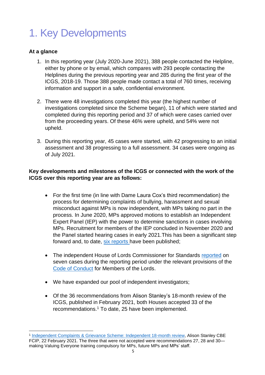# 1. Key Developments

## **At a glance**

- 1. In this reporting year (July 2020-June 2021), 388 people contacted the Helpline, either by phone or by email, which compares with 293 people contacting the Helplines during the previous reporting year and 285 during the first year of the ICGS, 2018-19. Those 388 people made contact a total of 760 times, receiving information and support in a safe, confidential environment.
- 2. There were 48 investigations completed this year (the highest number of investigations completed since the Scheme began), 11 of which were started and completed during this reporting period and 37 of which were cases carried over from the proceeding years. Of these 46% were upheld, and 54% were not upheld.
- 3. During this reporting year, 45 cases were started, with 42 progressing to an initial assessment and 38 progressing to a full assessment. 34 cases were ongoing as of July 2021.

## **Key developments and milestones of the ICGS or connected with the work of the ICGS over this reporting year are as follows:**

- For the first time (in line with Dame Laura Cox's third recommendation) the process for determining complaints of bullying, harassment and sexual misconduct against MPs is now independent, with MPs taking no part in the process. In June 2020, MPs approved motions to establish an Independent Expert Panel (IEP) with the power to determine sanctions in cases involving MPs. Recruitment for members of the IEP concluded in November 2020 and the Panel started hearing cases in early 2021.This has been a significant step forward and, to date, [six reports](https://www.parliament.uk/mps-lords-and-offices/standards-and-financial-interests/independent-expert-panel/reports/) have been published;
- The independent House of Lords Commissioner for Standards [reported](https://www.parliament.uk/mps-lords-and-offices/standards-and-financial-interests/house-of-lords-commissioner-for-standards-/house-of-lords-commissioner-for-standards-/reports-on-complaints/) on seven cases during the reporting period under the relevant provisions of the [Code of Conduct](https://www.parliament.uk/mps-lords-and-offices/standards-and-financial-interests/house-of-lords-commissioner-for-standards-/code-of-conduct-for-the-house-of-lords/code-of-conduct-for-members-of-the-house-of-lords/) for Members of the Lords.
- We have expanded our pool of independent investigators;
- Of the 36 recommendations from Alison Stanley's 18-month review of the ICGS, published in February 2021, both Houses accepted 33 of the recommendations.<sup>1</sup> To date, 25 have been implemented.

<sup>&</sup>lt;sup>1</sup> [Independent Complaints & Grievance Scheme: Independent 18-month review,](https://www.parliament.uk/contentassets/e3ed0297d92a400bb249c887a30aa59b/icgs-18-month-review_final.pdf) Alison Stanley CBE FCIP, 22 February 2021. The three that were not accepted were recommendations 27, 28 and 30 making Valuing Everyone training compulsory for MPs, future MPs and MPs' staff.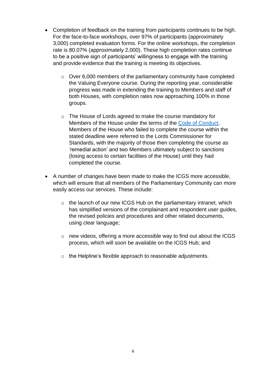- Completion of feedback on the training from participants continues to be high. For the face-to-face workshops, over 97% of participants (approximately 3,000) completed evaluation forms. For the online workshops, the completion rate is 80.07% (approximately 2,000). These high completion rates continue to be a positive sign of participants' willingness to engage with the training and provide evidence that the training is meeting its objectives.
	- o Over 6,000 members of the parliamentary community have completed the Valuing Everyone course. During the reporting year, considerable progress was made in extending the training to Members and staff of both Houses, with completion rates now approaching 100% in those groups.
	- o The House of Lords agreed to make the course mandatory for Members of the House under the terms of the [Code of Conduct.](https://www.parliament.uk/mps-lords-and-offices/standards-and-financial-interests/house-of-lords-commissioner-for-standards-/code-of-conduct-for-the-house-of-lords/code-of-conduct-for-members-of-the-house-of-lords/) Members of the House who failed to complete the course within the stated deadline were referred to the Lords Commissioner for Standards, with the majority of those then completing the course as 'remedial action' and two Members ultimately subject to sanctions (losing access to certain facilities of the House) until they had completed the course.
- A number of changes have been made to make the ICGS more accessible, which will ensure that all members of the Parliamentary Community can more easily access our services. These include:
	- $\circ$  the launch of our new ICGS Hub on the parliamentary intranet, which has simplified versions of the complainant and respondent user guides, the revised policies and procedures and other related documents, using clear language;
	- o new videos, offering a more accessible way to find out about the ICGS process, which will soon be available on the ICGS Hub; and
	- o the Helpline's flexible approach to reasonable adjustments.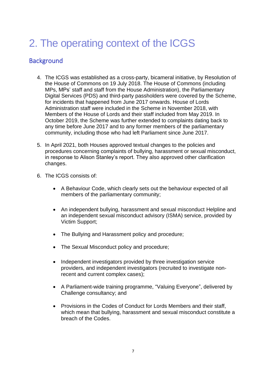# 2. The operating context of the ICGS

# **Background**

- 4. The ICGS was established as a cross-party, bicameral initiative, by Resolution of the House of Commons on 19 July 2018. The House of Commons (including MPs, MPs' staff and staff from the House Administration), the Parliamentary Digital Services (PDS) and third-party passholders were covered by the Scheme, for incidents that happened from June 2017 onwards. House of Lords Administration staff were included in the Scheme in November 2018, with Members of the House of Lords and their staff included from May 2019. In October 2019, the Scheme was further extended to complaints dating back to any time before June 2017 and to any former members of the parliamentary community, including those who had left Parliament since June 2017.
- 5. In April 2021, both Houses approved textual changes to the policies and procedures concerning complaints of bullying, harassment or sexual misconduct, in response to Alison Stanley's report. They also approved other clarification changes.
- 6. The ICGS consists of:
	- A Behaviour Code, which clearly sets out the behaviour expected of all members of the parliamentary community;
	- An independent bullying, harassment and sexual misconduct Helpline and an independent sexual misconduct advisory (ISMA) service, provided by Victim Support;
	- The Bullying and Harassment policy and procedure;
	- The Sexual Misconduct policy and procedure:
	- Independent investigators provided by three investigation service providers, and independent investigators (recruited to investigate nonrecent and current complex cases);
	- A Parliament-wide training programme, "Valuing Everyone", delivered by Challenge consultancy; and
	- Provisions in the Codes of Conduct for Lords Members and their staff, which mean that bullying, harassment and sexual misconduct constitute a breach of the Codes.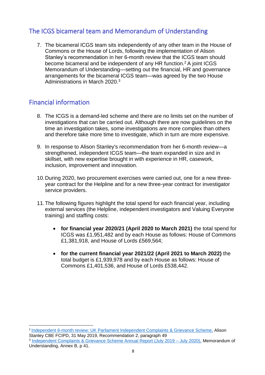# The ICGS bicameral team and Memorandum of Understanding

7. The bicameral ICGS team sits independently of any other team in the House of Commons or the House of Lords, following the implementation of Alison Stanley's recommendation in her 6-month review that the ICGS team should become bicameral and be independent of any HR function. <sup>2</sup> A joint ICGS Memorandum of Understanding—setting out the financial, HR and governance arrangements for the bicameral ICGS team—was agreed by the two House Administrations in March 2020.<sup>3</sup>

# Financial information

- 8. The ICGS is a demand-led scheme and there are no limits set on the number of investigations that can be carried out. Although there are now guidelines on the time an investigation takes, some investigations are more complex than others and therefore take more time to investigate, which in turn are more expensive.
- 9. In response to Alison Stanley's recommendation from her 6-month review—a strengthened, independent ICGS team—the team expanded in size and in skillset, with new expertise brought in with experience in HR, casework, inclusion, improvement and innovation.
- 10.During 2020, two procurement exercises were carried out, one for a new threeyear contract for the Helpline and for a new three-year contract for investigator service providers.
- 11.The following figures highlight the total spend for each financial year, including external services (the Helpline, independent investigators and Valuing Everyone training) and staffing costs:
	- **for financial year 2020/21 (April 2020 to March 2021)** the total spend for ICGS was £1,951,482 and by each House as follows: House of Commons £1,381,918, and House of Lords £569,564;
	- **for the current financial year 2021/22 (April 2021 to March 2022)** the total budget is £1,939,978 and by each House as follows: House of Commons £1,401,536, and House of Lords £538,442.

<sup>&</sup>lt;sup>2</sup> Independent 6-month review: [UK Parliament Independent Complaints & Grievance Scheme,](https://www.parliament.uk/globalassets/documents/conduct-in-parliament/icgs-six-month-review---final-report.pdf/icgs-six-month-review---final-report.pdf) Alison Stanley CBE FCIPD, 31 May 2019, Recommendation 2, paragraph 49

<sup>&</sup>lt;sup>3</sup> [Independent Complaints & Grievance Scheme Annual Report \(July 2019 –](https://www.parliament.uk/globalassets/icgs-annual-report-2019-20.pdf) July 2020), Memorandum of Understanding, Annex B, p 41.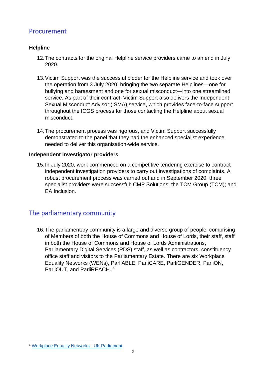# Procurement

## **Helpline**

- 12.The contracts for the original Helpline service providers came to an end in July 2020.
- 13.Victim Support was the successful bidder for the Helpline service and took over the operation from 3 July 2020, bringing the two separate Helplines—one for bullying and harassment and one for sexual misconduct—into one streamlined service. As part of their contract, Victim Support also delivers the Independent Sexual Misconduct Advisor (ISMA) service, which provides face-to-face support throughout the ICGS process for those contacting the Helpline about sexual misconduct.
- 14.The procurement process was rigorous, and Victim Support successfully demonstrated to the panel that they had the enhanced specialist experience needed to deliver this organisation-wide service.

#### **Independent investigator providers**

15.In July 2020, work commenced on a competitive tendering exercise to contract independent investigation providers to carry out investigations of complaints. A robust procurement process was carried out and in September 2020, three specialist providers were successful: CMP Solutions; the TCM Group (TCM); and EA Inclusion.

# The parliamentary community

16.The parliamentary community is a large and diverse group of people, comprising of Members of both the House of Commons and House of Lords, their staff, staff in both the House of Commons and House of Lords Administrations, Parliamentary Digital Services (PDS) staff, as well as contractors, constituency office staff and visitors to the Parliamentary Estate. There are six Workplace Equality Networks (WENs), ParliABLE, ParliCARE, ParliGENDER, ParliON, ParliOUT, and ParliREACH. 4

<sup>4</sup> [Workplace Equality Networks -](https://www.parliament.uk/about/working/workplace-equality-networks/) UK Parliament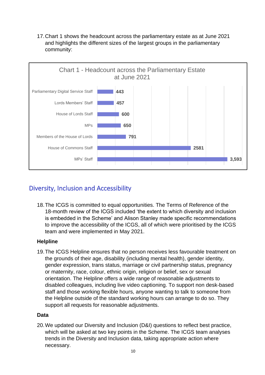17.Chart 1 shows the headcount across the parliamentary estate as at June 2021 and highlights the different sizes of the largest groups in the parliamentary community:



# Diversity, Inclusion and Accessibility

18.The ICGS is committed to equal opportunities. The Terms of Reference of the 18-month review of the ICGS included 'the extent to which diversity and inclusion is embedded in the Scheme' and Alison Stanley made specific recommendations to improve the accessibility of the ICGS, all of which were prioritised by the ICGS team and were implemented in May 2021.

# **Helpline**

19.The ICGS Helpline ensures that no person receives less favourable treatment on the grounds of their age, disability (including mental health), gender identity, gender expression, trans status, marriage or civil partnership status, pregnancy or maternity, race, colour, ethnic origin, religion or belief, sex or sexual orientation. The Helpline offers a wide range of reasonable adjustments to disabled colleagues, including live video captioning. To support non desk-based staff and those working flexible hours, anyone wanting to talk to someone from the Helpline outside of the standard working hours can arrange to do so. They support all requests for reasonable adjustments.

## **Data**

20.We updated our Diversity and Inclusion (D&I) questions to reflect best practice, which will be asked at two key points in the Scheme. The ICGS team analyses trends in the Diversity and Inclusion data, taking appropriate action where necessary.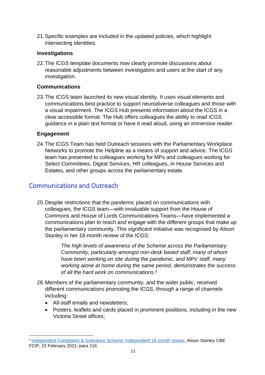21.Specific examples are included in the updated policies, which highlight intersecting identities.

#### **Investigations**

22.The ICGS template documents now clearly promote discussions about reasonable adjustments between investigators and users at the start of any investigation.

### **Communications**

23.The ICGS team launched its new visual identity. It uses visual elements and communications best practice to support neurodiverse colleagues and those with a visual impairment. The ICGS Hub presents information about the ICGS in a clear accessible format. The Hub offers colleagues the ability to read ICGS guidance in a plain text format or have it read aloud, using an immersive reader.

#### **Engagement**

24.The ICGS Team has held Outreach sessions with the Parliamentary Workplace Networks to promote the Helpline as a means of support and advice. The ICGS team has presented to colleagues working for MPs and colleagues working for Select Committees, Digital Services, HR colleagues, In House Services and Estates, and other groups across the parliamentary estate.

# Communications and Outreach

25.Despite restrictions that the pandemic placed on communications with colleagues, the ICGS team—with invaluable support from the House of Commons and House of Lords Communications Teams—have implemented a communications plan to reach and engage with the different groups that make up the parliamentary community. This significant initiative was recognised by Alison Stanley in her 18-month review of the ICGS:

> *The high levels of awareness of the Scheme across the Parliamentary Community, particularly amongst non-desk based staff, many of whom have been working on site during the pandemic, and MPs' staff, many working alone at home during the same period, demonstrates the success of all the hard work on communications.<sup>5</sup>*

- 26.Members of the parliamentary community, and the wider public, received different communications promoting the ICGS, through a range of channels including:
	- All-staff emails and newsletters;
	- Posters, leaflets and cards placed in prominent positions, including in the new Victoria Street offices;

<sup>&</sup>lt;sup>5</sup> [Independent Complaints & Grievance Scheme: Independent 18-month review,](https://www.parliament.uk/contentassets/e3ed0297d92a400bb249c887a30aa59b/icgs-18-month-review_final.pdf) Alison Stanley CBE FCIP, 22 February 2021, para 216.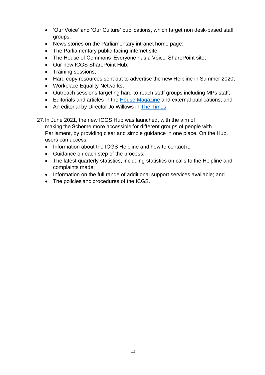- 'Our Voice' and 'Our Culture' publications, which target non desk-based staff groups;
- News stories on the Parliamentary intranet home page;
- The Parliamentary public-facing internet site;
- The House of Commons 'Everyone has a Voice' SharePoint site;
- Our new ICGS SharePoint Hub:
- Training sessions;
- Hard copy resources sent out to advertise the new Helpline in Summer 2020;
- Workplace Equality Networks;
- Outreach sessions targeting hard-to-reach staff groups including MPs staff;
- Editorials and articles in the [House Magazine](https://www.politicshome.com/thehouse/article/the-icgs-review-shows-that-we-have-made-progress-and-we-will-continue-to-build-trust) and external publications; and
- An editorial by Director Jo Willows in [The Times](https://www.thetimes.co.uk/article/parliament-scheme-is-rooting-out-bullying-and-harassment-zjd0llbd5)
- <span id="page-11-0"></span>27.In June 2021, the new ICGS Hub was launched, with the aim of making the Scheme more accessible for different groups of people with Parliament, by providing clear and simple guidance in one place. On the Hub, users can access:
	- Information about the ICGS Helpline and how to contact it;
	- Guidance on each step of the process;
	- The latest quarterly statistics, including statistics on calls to the Helpline and complaints made;
	- Information on the full range of additional support services available; and
	- The policies and procedures of the ICGS.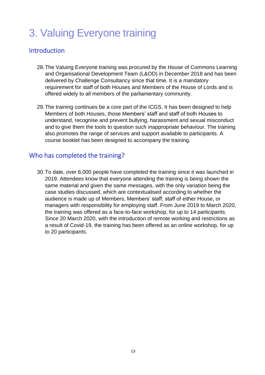# 3. Valuing Everyone training

# Introduction

- 28.The Valuing Everyone training was procured by the House of Commons Learning and Organisational Development Team (L&OD) in December 2018 and has been delivered by Challenge Consultancy since that time. It is a mandatory requirement for staff of both Houses and Members of the House of Lords and is offered widely to all members of the parliamentary community.
- 29.The training continues be a core part of the ICGS. It has been designed to help Members of both Houses, those Members' staff and staff of both Houses to understand, recognise and prevent bullying, harassment and sexual misconduct and to give them the tools to question such inappropriate behaviour. The training also promotes the range of services and support available to participants. A course booklet has been designed to accompany the training.

# Who has completed the training?

30.To date, over 6,000 people have completed the training since it was launched in 2019. Attendees know that everyone attending the training is being shown the same material and given the same messages, with the only variation being the case studies discussed, which are contextualised according to whether the audience is made up of Members, Members' staff, staff of either House, or managers with responsibility for employing staff. From June 2019 to March 2020, the training was offered as a face-to-face workshop, for up to 14 participants. Since 20 March 2020, with the introduction of remote working and restrictions as a result of Covid-19, the training has been offered as an online workshop, for up to 20 participants.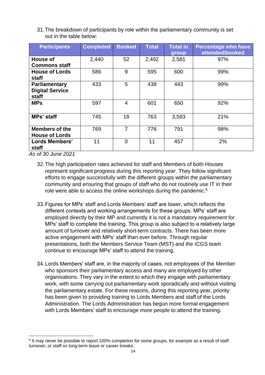31.The breakdown of participants by role within the parliamentary community is set out in the table below:

| <b>Participants</b>                              | <b>Completed</b> | <b>Booked</b>  | <b>Total</b> | <b>Total in</b><br>group | <b>Percentage who have</b><br>attended/booked |
|--------------------------------------------------|------------------|----------------|--------------|--------------------------|-----------------------------------------------|
| House of<br><b>Commons staff</b>                 | 2,440            | 52             | 2,492        | 2,581                    | 97%                                           |
| <b>House of Lords</b><br>staff                   | 586              | 9              | 595          | 600                      | 99%                                           |
| Parliamentary<br><b>Digital Service</b><br>staff | 433              | 5              | 438          | 443                      | 99%                                           |
| <b>MPs</b>                                       | 597              | $\overline{4}$ | 601          | 650                      | 92%                                           |
| <b>MPs'</b> staff                                | 745              | 18             | 763          | 3,593                    | 21%                                           |
| <b>Members of the</b><br><b>House of Lords</b>   | 769              | 7              | 776          | 791                      | 98%                                           |
| Lords Members'<br>staff                          | 11               | $\overline{0}$ | 11           | 457                      | 2%                                            |

*As of 30 June 2021*

- 32.The high participation rates achieved for staff and Members of both Houses represent significant progress during this reporting year. They follow significant efforts to engage successfully with the different groups within the parliamentary community and ensuring that groups of staff who do not routinely use IT in their role were able to access the online workshops during the pandemic.<sup>6</sup>
- 33.Figures for MPs' staff and Lords Members' staff are lower, which reflects the different contexts and working arrangements for these groups. MPs' staff are employed directly by their MP and currently it is not a mandatory requirement for MPs' staff to complete the training. This group is also subject to a relatively large amount of turnover and relatively short-term contracts. There has been more active engagement with MPs' staff than ever before. Through regular presentations, both the Members Service Team (MST) and the ICGS team continue to encourage MPs' staff to attend the training.
- 34.Lords Members' staff are, in the majority of cases, not employees of the Member who sponsors their parliamentary access and many are employed by other organisations. They vary in the extent to which they engage with parliamentary work, with some carrying out parliamentary work sporadically and without visiting the parliamentary estate. For these reasons, during this reporting year, priority has been given to providing training to Lords Members and staff of the Lords Administration. The Lords Administration has begun more formal engagement with Lords Members' staff to encourage more people to attend the training.

<sup>6</sup> It may never be possible to report 100% completion for some groups, for example as a result of staff turnover, or staff on long-term leave or career breaks.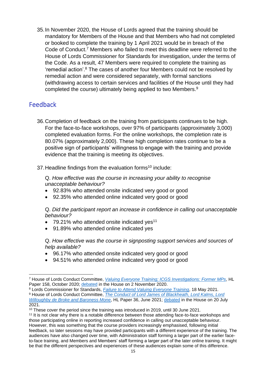35.In November 2020, the House of Lords agreed that the training should be mandatory for Members of the House and that Members who had not completed or booked to complete the training by 1 April 2021 would be in breach of the Code of Conduct. <sup>7</sup> Members who failed to meet this deadline were referred to the House of Lords Commissioner for Standards for investigation, under the terms of the Code. As a result, 47 Members were required to complete the training as 'remedial action'. <sup>8</sup> The cases of another four Members could not be resolved by remedial action and were considered separately, with formal sanctions (withdrawing access to certain services and facilities of the House until they had completed the course) ultimately being applied to two Members.<sup>9</sup>

# Feedback

36.Completion of feedback on the training from participants continues to be high. For the face-to-face workshops, over 97% of participants (approximately 3,000) completed evaluation forms. For the online workshops, the completion rate is 80.07% (approximately 2,000). These high completion rates continue to be a positive sign of participants' willingness to engage with the training and provide evidence that the training is meeting its objectives.

37. Headline findings from the evaluation forms<sup>10</sup> include:

Q. *How effective was the course in increasing your ability to recognise unacceptable behaviour?*

- 92.83% who attended onsite indicated very good or good
- 92.35% who attended online indicated very good or good

Q. *Did the participant report an increase in confidence in calling out unacceptable behaviour?*

- 79.21% who attended onsite indicated ves<sup>11</sup>
- 91.89% who attended online indicated yes

Q. *How effective was the course in signposting support services and sources of help available?*

- 96.17% who attended onsite indicated very good or good
- 94.51% who attended online indicated very good or good

<sup>7</sup> House of Lords Conduct Committee, *[Valuing Everyone Training; ICGS Investigations: Former MPs](https://committees.parliament.uk/publications/3194/documents/29642/default/)*, HL Paper 158, October 2020; [debated](https://hansard.parliament.uk/Lords/2020-11-03/debates/D7EA093A-C8FC-44DE-8574-C81EBA840680/ConductCommittee) in the House on 2 November 2020.

<sup>8</sup> Lords Commissioner for Standards, *[Failure to Attend Valuing Everyone Training](https://www.parliament.uk/globalassets/documents/lords-commissioner-for-standards/report-valuing-everyone-training-18-05-21.pdf)*, 18 May 2021.

<sup>9</sup> House of Lords Conduct Committee, *[The Conduct of Lord James of Blackheath, Lord Kalms, Lord](https://committees.parliament.uk/publications/6636/documents/71495/default/)  [Willoughby de Broke and Baroness Mone](https://committees.parliament.uk/publications/6636/documents/71495/default/)*, HL Paper 36, June 2021; [debated](https://hansard.parliament.uk/lords/2021-07-20/debates/EB89CC96-0AF9-45D1-8251-9BB04C4E1817/Conduct) in the House on 20 July 2021.

<sup>&</sup>lt;sup>10</sup> These cover the period since the training was introduced in 2019, until 30 June 2021.

<sup>11</sup> It is not clear why there is a notable difference between those attending face-to-face workshops and those participating online in reporting increased confidence in calling out unacceptable behaviour. However, this was something that the course providers increasingly emphasised, following initial feedback, so later sessions may have provided participants with a different experience of the training. The audiences have also changed over time, with Administration staff forming a larger part of the earlier faceto-face training, and Members and Members' staff forming a larger part of the later online training. It might be that the different perspectives and experiences of these audiences explain some of this difference.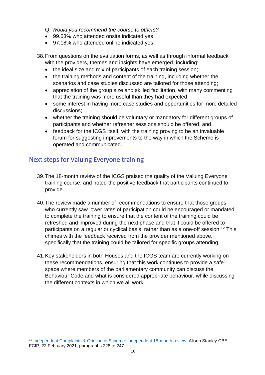- Q. *Would you recommend the course to others?*
- 99.63% who attended onsite indicated yes
- 97.18% who attended online indicated yes
- 38.From questions on the evaluation forms, as well as through informal feedback with the providers, themes and insights have emerged, including:
	- the ideal size and mix of participants of each training session;
	- the training methods and content of the training, including whether the scenarios and case studies discussed are tailored for those attending;
	- appreciation of the group size and skilled facilitation, with many commenting that the training was more useful than they had expected;
	- some interest in having more case studies and opportunities for more detailed discussions;
	- whether the training should be voluntary or mandatory for different groups of participants and whether refresher sessions should be offered; and
	- feedback for the ICGS itself, with the training proving to be an invaluable forum for suggesting improvements to the way in which the Scheme is operated and communicated.

# Next steps for Valuing Everyone training

- 39.The 18-month review of the ICGS praised the quality of the Valuing Everyone training course, and noted the positive feedback that participants continued to provide.
- 40.The review made a number of recommendations to ensure that those groups who currently saw lower rates of participation could be encouraged or mandated to complete the training to ensure that the content of the training could be refreshed and improved during the next phase and that it could be offered to participants on a regular or cyclical basis, rather than as a one-off session.<sup>12</sup> This chimes with the feedback received from the provider mentioned above, specifically that the training could be tailored for specific groups attending.
- 41.Key stakeholders in both Houses and the ICGS team are currently working on these recommendations, ensuring that this work continues to provide a safe space where members of the parliamentary community can discuss the Behaviour Code and what is considered appropriate behaviour, while discussing the different contexts in which we all work.

<sup>&</sup>lt;sup>12</sup> [Independent Complaints & Grievance Scheme: Independent 18-month review,](https://www.parliament.uk/contentassets/e3ed0297d92a400bb249c887a30aa59b/icgs-18-month-review_final.pdf) Alison Stanley CBE FCIP, 22 February 2021, paragraphs 228 to 247.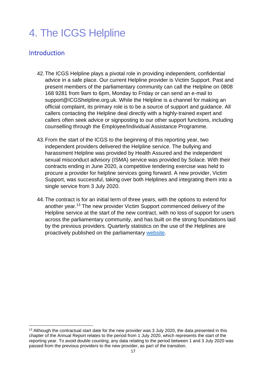# <span id="page-16-0"></span>4. The ICGS Helpline

# Introduction

- 42.The ICGS Helpline plays a pivotal role in providing independent, confidential advice in a safe place. Our current Helpline provider is Victim Support. Past and present members of the parliamentary community can call the Helpline on 0808 168 9281 from 9am to 6pm, Monday to Friday or can send an e-mail to support@ICGShelpline.org.uk. While the Helpline is a channel for making an official complaint, its primary role is to be a source of support and guidance. All callers contacting the Helpline deal directly with a highly-trained expert and callers often seek advice or signposting to our other support functions, including counselling through the Employee/Individual Assistance Programme.
- 43.From the start of the ICGS to the beginning of this reporting year, two independent providers delivered the Helpline service. The bullying and harassment Helpline was provided by Health Assured and the independent sexual misconduct advisory (ISMA) service was provided by Solace. With their contracts ending in June 2020, a competitive tendering exercise was held to procure a provider for helpline services going forward. A new provider, Victim Support, was successful, taking over both Helplines and integrating them into a single service from 3 July 2020.
- 44.The contract is for an initial term of three years, with the options to extend for another year.<sup>13</sup> The new provider Victim Support commenced delivery of the Helpline service at the start of the new contract, with no loss of support for users across the parliamentary community, and has built on the strong foundations laid by the previous providers. Quarterly statistics on the use of the Helplines are proactively published on the parliamentary [website.](https://www.parliament.uk/mps-lords-and-offices/standards-and-financial-interests/parliaments-behaviour-code/independent-complaints-grievances-use-statistics/)

<sup>&</sup>lt;sup>13</sup> Although the contractual start date for the new provider was 3 July 2020, the data presented in this chapter of the Annual Report relates to the period from 1 July 2020, which represents the start of the reporting year. To avoid double counting, any data relating to the period between 1 and 3 July 2020 was passed from the previous providers to the new provider, as part of the transition.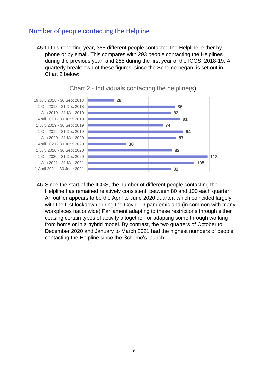# Number of people contacting the Helpline

45.In this reporting year, 388 different people contacted the Helpline, either by phone or by email. This compares with 293 people contacting the Helplines during the previous year, and 285 during the first year of the ICGS, 2018-19. A quarterly breakdown of these figures, since the Scheme began, is set out in Chart 2 below:



46.Since the start of the ICGS, the number of different people contacting the Helpline has remained relatively consistent, between 80 and 100 each quarter. An outlier appears to be the April to June 2020 quarter, which coincided largely with the first lockdown during the Covid-19 pandemic and (in common with many workplaces nationwide) Parliament adapting to these restrictions through either ceasing certain types of activity altogether, or adapting some through working from home or in a hybrid model. By contrast, the two quarters of October to December 2020 and January to March 2021 had the highest numbers of people contacting the Helpline since the Scheme's launch.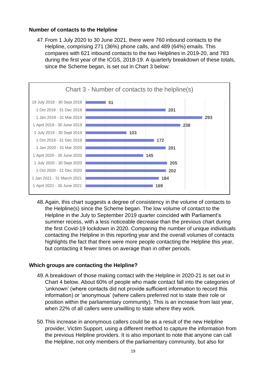#### **Number of contacts to the Helpline**

47.From 1 July 2020 to 30 June 2021, there were 760 inbound contacts to the Helpline, comprising 271 (36%) phone calls, and 489 (64%) emails. This compares with 621 inbound contacts to the two Helplines in 2019-20, and 783 during the first year of the ICGS, 2018-19. A quarterly breakdown of these totals, since the Scheme began, is set out in Chart 3 below:



48.Again, this chart suggests a degree of consistency in the volume of contacts to the Helpline(s) since the Scheme began. The low volume of contact to the Helpline in the July to September 2019 quarter coincided with Parliament's summer recess, with a less noticeable decrease than the previous chart during the first Covid-19 lockdown in 2020. Comparing the number of unique individuals contacting the Helpline in this reporting year and the overall volumes of contacts highlights the fact that there were more people contacting the Helpline this year, but contacting it fewer times on average than in other periods.

#### **Which groups are contacting the Helpline?**

- 49.A breakdown of those making contact with the Helpline in 2020-21 is set out in Chart 4 below. About 60% of people who made contact fall into the categories of 'unknown' (where contacts did not provide sufficient information to record this information) or 'anonymous' (where callers preferred not to state their role or position within the parliamentary community). This is an increase from last year, when 22% of all callers were unwilling to state where they work.
- 50.This increase in anonymous callers could be as a result of the new Helpline provider, Victim Support, using a different method to capture the information from the previous Helpline providers. It is also important to note that anyone can call the Helpline, not only members of the parliamentary community, but also for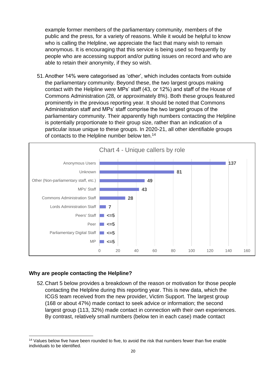example former members of the parliamentary community, members of the public and the press, for a variety of reasons. While it would be helpful to know who is calling the Helpline, we appreciate the fact that many wish to remain anonymous. It is encouraging that this service is being used so frequently by people who are accessing support and/or putting issues on record and who are able to retain their anonymity, if they so wish.

51.Another 14% were categorised as 'other', which includes contacts from outside the parliamentary community. Beyond these, the two largest groups making contact with the Helpline were MPs' staff (43, or 12%) and staff of the House of Commons Administration (28, or approximately 8%). Both these groups featured prominently in the previous reporting year. It should be noted that Commons Administration staff and MPs' staff comprise the two largest groups of the parliamentary community. Their apparently high numbers contacting the Helpline is potentially proportionate to their group size, rather than an indication of a particular issue unique to these groups. In 2020-21, all other identifiable groups of contacts to the Helpline number below ten.<sup>14</sup>



#### **Why are people contacting the Helpline?**

52.Chart 5 below provides a breakdown of the reason or motivation for those people contacting the Helpline during this reporting year. This is new data, which the ICGS team received from the new provider, Victim Support. The largest group (168 or about 47%) made contact to seek advice or information; the second largest group (113, 32%) made contact in connection with their own experiences. By contrast, relatively small numbers (below ten in each case) made contact

<sup>&</sup>lt;sup>14</sup> Values below five have been rounded to five, to avoid the risk that numbers fewer than five enable individuals to be identified.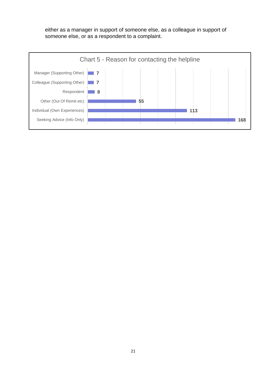either as a manager in support of someone else, as a colleague in support of someone else, or as a respondent to a complaint.

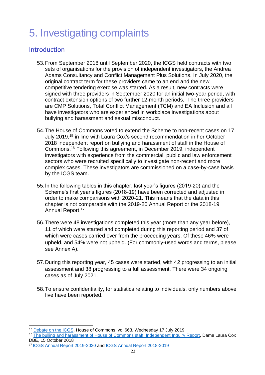# 5. Investigating complaints

# Introduction

- 53.From September 2018 until September 2020, the ICGS held contracts with two sets of organisations for the provision of independent investigators, the Andrea Adams Consultancy and Conflict Management Plus Solutions. In July 2020, the original contract term for these providers came to an end and the new competitive tendering exercise was started. As a result, new contracts were signed with three providers in September 2020 for an initial two-year period, with contract extension options of two further 12-month periods. The three providers are CMP Solutions, Total Conflict Management (TCM) and EA Inclusion and all have investigators who are experienced in workplace investigations about bullying and harassment and sexual misconduct.
- 54.The House of Commons voted to extend the Scheme to non-recent cases on 17 July 2019, <sup>15</sup> in line with Laura Cox's second recommendation in her October 2018 independent report on bullying and harassment of staff in the House of Commons. <sup>16</sup> Following this agreement, in December 2019, independent investigators with experience from the commercial, public and law enforcement sectors who were recruited specifically to investigate non-recent and more complex cases. These investigators are commissioned on a case-by-case basis by the ICGS team.
- 55.In the following tables in this chapter, last year's figures (2019-20) and the Scheme's first year's figures (2018-19) have been corrected and adjusted in order to make comparisons with 2020-21. This means that the data in this chapter is not comparable with the [2019-20 Annual Report](https://www.parliament.uk/globalassets/icgs-annual-report-2019-20.pdf) or the 2018-19 Annual Report.<sup>17</sup>
- 56.There were 48 investigations completed this year (more than any year before), 11 of which were started and completed during this reporting period and 37 of which were cases carried over from the proceeding years. Of these 46% were upheld, and 54% were not upheld. (For commonly-used words and terms, please see Annex A).
- 57.During this reporting year, 45 cases were started, with 42 progressing to an initial assessment and 38 progressing to a full assessment. There were 34 ongoing cases as of July 2021.
- 58.To ensure confidentiality, for statistics relating to individuals, only numbers above five have been reported.

<sup>15</sup> [Debate on the ICGS,](https://hansard.parliament.uk/commons/2019-07-17/debates/EED2A050-051C-48ED-9A47-F68066918558/IndependentComplaintsAndGrievanceScheme) House of Commons, vol 663, Wednesday 17 July 2019.

<sup>&</sup>lt;sup>16</sup> [The bulling and harassment of House of Commons staff: Independent Inquiry Report,](https://www.parliament.uk/globalassets/documents/conduct-in-parliament/dame-laura-cox-independent-inquiry-report.pdf) Dame Laura Cox DBE, 15 October 2018

<sup>17</sup> [ICGS Annual Report 2019-2020](https://www.parliament.uk/globalassets/icgs-annual-report-2019-20.pdf) and [ICGS Annual Report 2018-2019](https://www.parliament.uk/globalassets/documents/conduct-in-parliament/icgs-annual-report.pdf)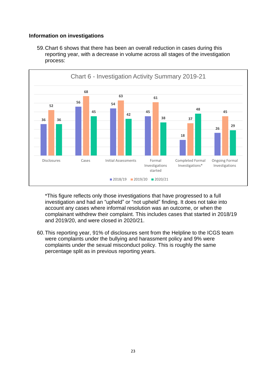### **Information on investigations**

59.Chart 6 shows that there has been an overall reduction in cases during this reporting year, with a decrease in volume across all stages of the investigation process:



\*This figure reflects only those investigations that have progressed to a full investigation and had an "upheld" or "not upheld" finding. It does not take into account any cases where informal resolution was an outcome, or when the complainant withdrew their complaint. This includes cases that started in 2018/19 and 2019/20, and were closed in 2020/21.

60.This reporting year, 91% of disclosures sent from the Helpline to the ICGS team were complaints under the bullying and harassment policy and 9% were complaints under the sexual misconduct policy. This is roughly the same percentage split as in previous reporting years.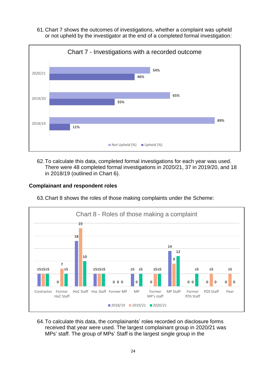61.Chart 7 shows the outcomes of investigations, whether a complaint was upheld or not upheld by the investigator at the end of a completed formal investigation:



62.To calculate this data, completed formal investigations for each year was used. There were 48 completed formal investigations in 2020/21, 37 in 2019/20, and 18 in 2018/19 (outlined in Chart 6).

### **Complainant and respondent roles**



63.Chart 8 shows the roles of those making complaints under the Scheme:

64.To calculate this data, the complainants' roles recorded on disclosure forms received that year were used. The largest complainant group in 2020/21 was MPs' staff. The group of MPs' Staff is the largest single group in the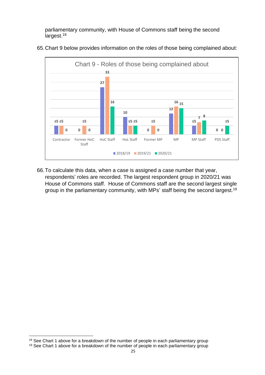parliamentary community, with House of Commons staff being the second largest.<sup>18</sup>



65.Chart 9 below provides information on the roles of those being complained about:

66.To calculate this data, when a case is assigned a case number that year, respondents' roles are recorded. The largest respondent group in 2020/21 was House of Commons staff. House of Commons staff are the second largest single group in the parliamentary community, with MPs' staff being the second largest.<sup>19</sup>

<sup>&</sup>lt;sup>18</sup> See Chart 1 above for a breakdown of the number of people in each parliamentary group

<sup>&</sup>lt;sup>19</sup> See Chart 1 above for a breakdown of the number of people in each parliamentary group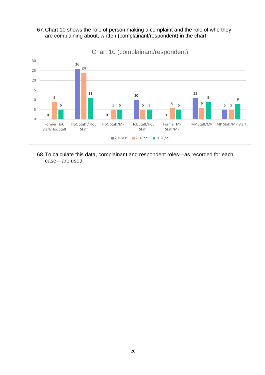67.Chart 10 shows the role of person making a complaint and the role of who they are complaining about, written (complainant/respondent) in the chart:



68.To calculate this data, complainant and respondent roles—as recorded for each case—are used.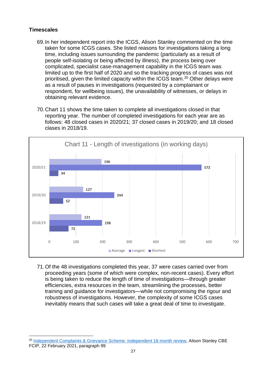### **Timescales**

- 69.In her independent report into the ICGS, Alison Stanley commented on the time taken for some ICGS cases. She listed reasons for investigations taking a long time, including issues surrounding the pandemic (particularly as a result of people self-isolating or being affected by illness), the process being over complicated, specialist case-management capability in the ICGS team was limited up to the first half of 2020 and so the tracking progress of cases was not prioritised, given the limited capacity within the ICGS team. <sup>20</sup> Other delays were as a result of pauses in investigations (requested by a complainant or respondent, for wellbeing issues), the unavailability of witnesses, or delays in obtaining relevant evidence.
- 70.Chart 11 shows the time taken to complete all investigations closed in that reporting year. The number of completed investigations for each year are as follows: 48 closed cases in 2020/21; 37 closed cases in 2019/20; and 18 closed clases in 2018/19.



71.Of the 48 investigations completed this year, 37 were cases carried over from proceeding years (some of which were complex, non-recent cases). Every effort is being taken to reduce the length of time of investigations—through greater efficiencies, extra resources in the team, streamlining the processes, better training and guidance for investigators—while not compromising the rigour and robustness of investigations. However, the complexity of some ICGS cases inevitably means that such cases will take a great deal of time to investigate.

<sup>&</sup>lt;sup>20</sup> [Independent Complaints & Grievance Scheme: Independent 18-month review,](https://www.parliament.uk/contentassets/e3ed0297d92a400bb249c887a30aa59b/icgs-18-month-review_final.pdf) Alison Stanley CBE FCIP, 22 February 2021, paragraph 99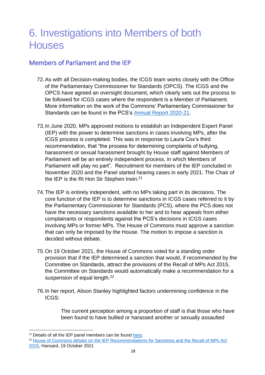# 6. Investigations into Members of both **Houses**

# Members of Parliament and the IEP

- 72.As with all Decision-making bodies, the ICGS team works closely with the Office of the Parliamentary Commissioner for Standards (OPCS). The ICGS and the OPCS have agreed an oversight document, which clearly sets out the process to be followed for ICGS cases where the respondent is a Member of Parliament. More information on the work of the Commons' Parliamentary Commissioner for Standards can be found in the PCS's [Annual Report 2020-21.](https://www.parliament.uk/globalassets/documents/pcfs/annual-report-2020-21.pdf)
- 73.In June 2020, MPs approved motions to establish an Independent Expert Panel (IEP) with the power to determine sanctions in cases involving MPs, after the ICGS process is completed. This was in response to Laura Cox's third recommendation, that "the process for determining complaints of bullying, harassment or sexual harassment brought by House staff against Members of Parliament will be an entirely independent process, in which Members of Parliament will play no part". Recruitment for members of the IEP concluded in November 2020 and the Panel started hearing cases in early 2021. The Chair of the IEP is the Rt Hon Sir Stephen Irwin.<sup>21</sup>
- 74.The IEP is entirely independent, with no MPs taking part in its decisions. The core function of the IEP is to determine sanctions in ICGS cases referred to it by the Parliamentary Commissioner for Standards (PCS), where the PCS does not have the necessary sanctions available to her and to hear appeals from either complainants or respondents against the PCS's decisions in ICGS cases involving MPs or former MPs. The House of Commons must approve a sanction that can only be imposed by the House. The motion to impose a sanction is decided without debate.
- 75.On 19 October 2021, the House of Commons voted for a standing order provision that if the IEP determined a sanction that would, if recommended by the Committee on Standards, attract the provisions of the Recall of MPs Act 2015, the Committee on Standards would automatically make a recommendation for a suspension of equal length.<sup>22</sup>
- 76.In her report, Alison Stanley highlighted factors undermining confidence in the ICGS:

The current perception among a proportion of staff is that those who have been found to have bullied or harassed another or sexually assaulted

 $21$  Details of all the IEP panel members can be found [here.](https://www.parliament.uk/mps-lords-and-offices/standards-and-financial-interests/independent-expert-panel/panel-members/)

<sup>&</sup>lt;sup>22</sup> House of Commons debate on the IEP Recommendations for Sanctions and the Recall of MPs Act [2015,](https://hansard.parliament.uk/commons/2021-10-19/debates/96D9B04A-5361-49A4-B22B-3A1814442036/IndependentExpertPanelRecommendationsForSanctionsAndTheRecallOfMpsAct2015) Hansard, 19 October 2021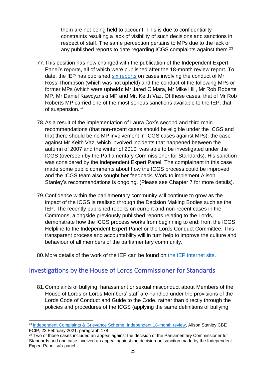them are not being held to account. This is due to confidentiality constraints resulting a lack of visibility of such decisions and sanctions in respect of staff. The same perception pertains to MPs due to the lack of any published reports to date regarding ICGS complaints against them.<sup>23</sup>

- 77.This position has now changed with the publication of the Independent Expert Panel's reports, all of which were published after the 18-month review report. To date, the IEP has published [six reports](https://www.parliament.uk/mps-lords-and-offices/standards-and-financial-interests/independent-expert-panel/reports/) on cases involving the conduct of Mr Ross Thompson (which was not upheld) and the conduct of the following MPs or former MPs (which were upheld): Mr Jared O'Mara, Mr Mike Hill, Mr Rob Roberts MP, Mr Daniel Kawcyznski MP and Mr. Keith Vaz. Of these cases, that of Mr Rob Roberts MP carried one of the most serious sanctions available to the IEP, that of suspension.<sup>24</sup>
- 78.As a result of the implementation of Laura Cox's second and third main recommendations (that non-recent cases should be eligible under the ICGS and that there should be no MP involvement in ICGS cases against MPs), the case against Mr Keith Vaz, which involved incidents that happened between the autumn of 2007 and the winter of 2010, was able to be investigated under the ICGS (overseen by the Parliamentary Commissioner for Standards). His sanction was considered by the Independent Expert Panel. The complainant in this case made some public comments about how the ICGS process could be improved and the ICGS team also sought her feedback. Work to implement Alison Stanley's recommendations is ongoing. (Please see Chapter 7 for more details).
- 79.Confidence within the parliamentary community will continue to grow as the impact of the ICGS is realised through the Decision Making Bodies such as the IEP. The recently published reports on current and non-recent cases in the Commons, alongside previously published reports relating to the Lords, demonstrate how the ICGS process works from beginning to end: from the ICGS Helpline to the Independent Expert Panel or the Lords Conduct Committee. This transparent process and accountability will in turn help to improve the culture and behaviour of all members of the parliamentary community.
- 80.More details of the work of the IEP can be found on the IEP [internet site.](https://www.parliament.uk/mps-lords-and-offices/standards-and-financial-interests/independent-expert-panel/reports/)

# Investigations by the House of Lords Commissioner for Standards

81.Complaints of bullying, harassment or sexual misconduct about Members of the House of Lords or Lords Members' staff are handled under the provisions of the Lords Code of Conduct and Guide to the Code, rather than directly through the policies and procedures of the ICGS (applying the same definitions of bullying,

<sup>&</sup>lt;sup>23</sup> [Independent Complaints & Grievance Scheme: Independent 18-month review,](https://www.parliament.uk/contentassets/e3ed0297d92a400bb249c887a30aa59b/icgs-18-month-review_final.pdf) Alison Stanley CBE FCIP, 22 February 2021, paragraph 178

<sup>&</sup>lt;sup>24</sup> Two of those cases included an appeal against the decision of the Parliamentary Commissioner for Standards and one case involved an appeal against the decision on sanction made by the Independent Expert Panel sub-panel.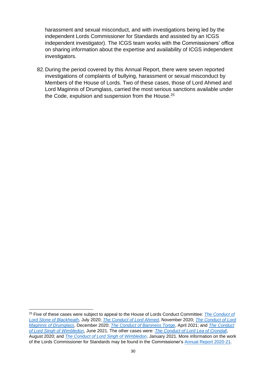harassment and sexual misconduct, and with investigations being led by the independent Lords Commissioner for Standards and assisted by an ICGS independent investigator). The ICGS team works with the Commissioners' office on sharing information about the expertise and availability of ICGS independent investigators.

82.During the period covered by this Annual Report, there were seven reported investigations of complaints of bullying, harassment or sexual misconduct by Members of the House of Lords. Two of these cases, those of Lord Ahmed and Lord Maginnis of Drumglass, carried the most serious sanctions available under the Code, expulsion and suspension from the House.<sup>25</sup>

<sup>25</sup> Five of these cases were subject to appeal to the House of Lords Conduct Committee: *[The Conduct of](https://committees.parliament.uk/publications/2173/documents/20131/default/)  [Lord Stone of Blackheath](https://committees.parliament.uk/publications/2173/documents/20131/default/)*, July 2020; *[The Conduct of Lord Ahmed](https://committees.parliament.uk/publications/3468/documents/33452/default/)*, November 2020; *[The Conduct of Lord](https://committees.parliament.uk/publications/3825/documents/38302/default/)  [Maginnis of Drumglass](https://committees.parliament.uk/publications/3825/documents/38302/default/)*, December 2020; *[The Conduct of Baroness Tonge](https://committees.parliament.uk/publications/5518/documents/54952/default/)*, April 2021; and *[The Conduct](https://committees.parliament.uk/publications/6395/documents/70125/default/)  [of Lord Singh of Wimbledon](https://committees.parliament.uk/publications/6395/documents/70125/default/)*, June 2021. The other cases were: *[The Conduct of Lord Lea of Crondall](https://www.parliament.uk/globalassets/documents/lords-commissioner-for-standards/conduct_of_lord_lea_final_report.pdf)*, August 2020; and *[The Conduct of Lord Singh of Wimbledon](https://www.parliament.uk/globalassets/documents/lords-commissioner-for-standards/report-on-lord-singh-of-wimbledon-jan-2021.pdf)*, January 2021. More information on the work of the Lords Commissioner for Standards may be found in the Commissioner's [Annual Report 2020-21.](https://www.parliament.uk/globalassets/documents/lords-commissioner-for-standards/house-of-lords-commissioner-for-standards-annual-report-2020-21.pdf)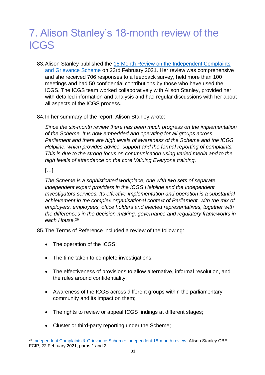# 7. Alison Stanley's 18-month review of the ICGS

- 83.Alison Stanley published the [18 Month Review on the Independent Complaints](https://intranet.parliament.uk/Documents/intranet/ICGS-18%20Month%20Review_FINAL.pdf)  [and Grievance Scheme](https://intranet.parliament.uk/Documents/intranet/ICGS-18%20Month%20Review_FINAL.pdf) on 23rd February 2021. Her review was comprehensive and she received 706 responses to a feedback survey, held more than 100 meetings and had 50 confidential contributions by those who have used the ICGS. The ICGS team worked collaboratively with Alison Stanley, provided her with detailed information and analysis and had regular discussions with her about all aspects of the ICGS process.
- 84.In her summary of the report, Alison Stanley wrote:

*Since the six-month review there has been much progress on the implementation of the Scheme. It is now embedded and operating for all groups across Parliament and there are high levels of awareness of the Scheme and the ICGS Helpline, which provides advice, support and the formal reporting of complaints. This is due to the strong focus on communication using varied media and to the high levels of attendance on the core Valuing Everyone training.*

# […]

*The Scheme is a sophisticated workplace, one with two sets of separate independent expert providers in the ICGS Helpline and the Independent Investigators services. Its effective implementation and operation is a substantial achievement in the complex organisational context of Parliament, with the mix of employers, employees, office holders and elected representatives, together with the differences in the decision-making, governance and regulatory frameworks in each House.<sup>26</sup>*

85.The Terms of Reference included a review of the following:

- The operation of the ICGS;
- The time taken to complete investigations;
- The effectiveness of provisions to allow alternative, informal resolution, and the rules around confidentiality;
- Awareness of the ICGS across different groups within the parliamentary community and its impact on them;
- The rights to review or appeal ICGS findings at different stages;
- Cluster or third-party reporting under the Scheme;

<sup>&</sup>lt;sup>26</sup> [Independent Complaints & Grievance Scheme: Independent 18-month review,](https://www.parliament.uk/contentassets/e3ed0297d92a400bb249c887a30aa59b/icgs-18-month-review_final.pdf) Alison Stanley CBE FCIP, 22 February 2021, paras 1 and 2.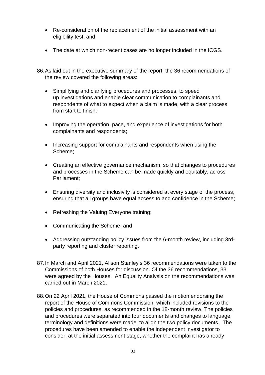- Re-consideration of the replacement of the initial assessment with an eligibility test; and
- The date at which non-recent cases are no longer included in the ICGS.
- 86.As laid out in the executive summary of the report, the 36 recommendations of the review covered the following areas:
	- Simplifying and clarifying procedures and processes, to speed up investigations and enable clear communication to complainants and respondents of what to expect when a claim is made, with a clear process from start to finish;
	- Improving the operation, pace, and experience of investigations for both complainants and respondents;
	- Increasing support for complainants and respondents when using the Scheme;
	- Creating an effective governance mechanism, so that changes to procedures and processes in the Scheme can be made quickly and equitably, across Parliament;
	- Ensuring diversity and inclusivity is considered at every stage of the process, ensuring that all groups have equal access to and confidence in the Scheme;
	- Refreshing the Valuing Everyone training;
	- Communicating the Scheme; and
	- Addressing outstanding policy issues from the 6-month review, including 3rdparty reporting and cluster reporting.
- 87.In March and April 2021, Alison Stanley's 36 recommendations were taken to the Commissions of both Houses for discussion. Of the 36 recommendations, 33 were agreed by the Houses. An Equality Analysis on the recommendations was carried out in March 2021.
- <span id="page-31-1"></span><span id="page-31-0"></span>88.On 22 April 2021, the House of Commons passed the motion endorsing the report of the House of Commons Commission, which included revisions to the policies and procedures, as recommended in the 18-month review. The policies and procedures were separated into four documents and changes to language, terminology and definitions were made, to align the two policy documents. The procedures have been amended to enable the independent investigator to consider, at the initial assessment stage, whether the complaint has already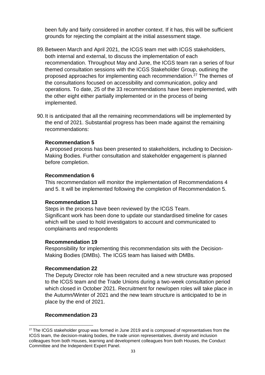been fully and fairly considered in another context. If it has, this will be sufficient grounds for rejecting the complaint at the initial assessment stage.

- 89.Between March and April 2021, the ICGS team met with ICGS stakeholders, both internal and external, to discuss the implementation of each recommendation. Throughout May and June, the ICGS team ran a series of four themed consultation sessions with the ICGS Stakeholder Group, outlining the proposed approaches for implementing each recommendation.<sup>27</sup> The themes of the consultations focused on accessibility and communication, policy and operations. To date, 25 of the 33 recommendations have been implemented, with the other eight either partially implemented or in the process of being implemented.
- 90.It is anticipated that all the remaining recommendations will be implemented by the end of 2021. Substantial progress has been made against the remaining recommendations:

#### **Recommendation 5**

A proposed process has been presented to stakeholders, including to Decision-Making Bodies. Further consultation and stakeholder engagement is planned before completion.

#### **Recommendation 6**

This recommendation will monitor the implementation of Recommendations 4 and 5. It will be implemented following the completion of Recommendation 5.

#### **Recommendation 13**

Steps in the process have been reviewed by the ICGS Team. Significant work has been done to update our standardised timeline for cases which will be used to hold investigators to account and communicated to complainants and respondents

#### **Recommendation 19**

Responsibility for implementing this recommendation sits with the Decision-Making Bodies (DMBs). The ICGS team has liaised with DMBs.

#### **Recommendation 22**

The Deputy Director role has been recruited and a new structure was proposed to the ICGS team and the Trade Unions during a two-week consultation period which closed in October 2021. Recruitment for new/open roles will take place in the Autumn/Winter of 2021 and the new team structure is anticipated to be in place by the end of 2021.

#### **Recommendation 23**

<sup>&</sup>lt;sup>27</sup> The ICGS stakeholder group was formed in June 2019 and is composed of representatives from the ICGS team, the decision-making bodies, the trade union representatives, diversity and inclusion colleagues from both Houses, learning and development colleagues from both Houses, the Conduct Committee and the Independent Expert Panel.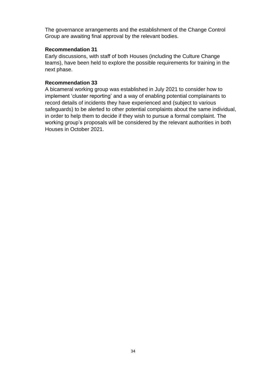The governance arrangements and the establishment of the Change Control Group are awaiting final approval by the relevant bodies.

#### **Recommendation 31**

Early discussions, with staff of both Houses (including the Culture Change teams), have been held to explore the possible requirements for training in the next phase.

### **Recommendation 33**

A bicameral working group was established in July 2021 to consider how to implement 'cluster reporting' and a way of enabling potential complainants to record details of incidents they have experienced and (subject to various safeguards) to be alerted to other potential complaints about the same individual, in order to help them to decide if they wish to pursue a formal complaint. The working group's proposals will be considered by the relevant authorities in both Houses in October 2021.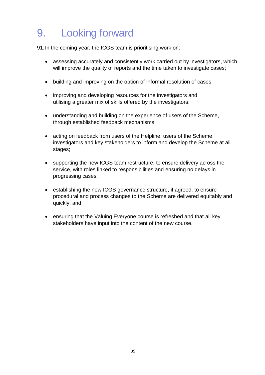# 9. Looking forward

91.In the coming year, the ICGS team is prioritising work on:

- assessing accurately and consistently work carried out by investigators, which will improve the quality of reports and the time taken to investigate cases;
- building and improving on the option of informal resolution of cases;
- improving and developing resources for the investigators and utilising a greater mix of skills offered by the investigators;
- understanding and building on the experience of users of the Scheme, through established feedback mechanisms;
- acting on feedback from users of the Helpline, users of the Scheme, investigators and key stakeholders to inform and develop the Scheme at all stages;
- supporting the new ICGS team restructure, to ensure delivery across the service, with roles linked to responsibilities and ensuring no delays in progressing cases;
- establishing the new ICGS governance structure, if agreed, to ensure procedural and process changes to the Scheme are delivered equitably and quickly: and
- ensuring that the Valuing Everyone course is refreshed and that all key stakeholders have input into the content of the new course.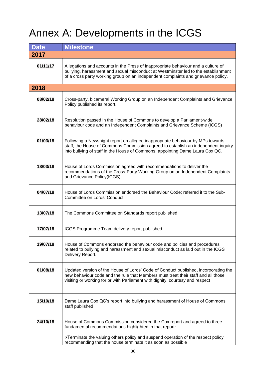# Annex A: Developments in the ICGS

| <b>Date</b> | <b>Milestone</b>                                                                                                                                                                                                                                             |
|-------------|--------------------------------------------------------------------------------------------------------------------------------------------------------------------------------------------------------------------------------------------------------------|
| 2017        |                                                                                                                                                                                                                                                              |
| 01/11/17    | Allegations and accounts in the Press of inappropriate behaviour and a culture of<br>bullying, harassment and sexual misconduct at Westminster led to the establishment<br>of a cross party working group on an independent complaints and grievance policy. |
| 2018        |                                                                                                                                                                                                                                                              |
| 08/02/18    | Cross-party, bicameral Working Group on an Independent Complaints and Grievance<br>Policy published its report.                                                                                                                                              |
| 28/02/18    | Resolution passed in the House of Commons to develop a Parliament-wide<br>behaviour code and an Independent Complaints and Grievance Scheme (ICGS)                                                                                                           |
| 01/03/18    | Following a Newsnight report on alleged inappropriate behaviour by MPs towards<br>staff, the House of Commons Commission agreed to establish an independent inquiry<br>into bullying of staff in the House of Commons, appointing Dame Laura Cox QC.         |
| 18/03/18    | House of Lords Commission agreed with recommendations to deliver the<br>recommendations of the Cross-Party Working Group on an Independent Complaints<br>and Grievance Policy(ICGS).                                                                         |
| 04/07/18    | House of Lords Commission endorsed the Behaviour Code; referred it to the Sub-<br>Committee on Lords' Conduct.                                                                                                                                               |
| 13/07/18    | The Commons Committee on Standards report published                                                                                                                                                                                                          |
| 17/07/18    | ICGS Programme Team delivery report published                                                                                                                                                                                                                |
| 19/07/18    | House of Commons endorsed the behaviour code and policies and procedures<br>related to bullying and harassment and sexual misconduct as laid out in the ICGS<br>Delivery Report.                                                                             |
| 01/08/18    | Updated version of the House of Lords' Code of Conduct published, incorporating the<br>new behaviour code and the rule that Members must treat their staff and all those<br>visiting or working for or with Parliament with dignity, courtesy and respect    |
| 15/10/18    | Dame Laura Cox QC's report into bullying and harassment of House of Commons<br>staff published                                                                                                                                                               |
| 24/10/18    | House of Commons Commission considered the Cox report and agreed to three<br>fundamental recommendations highlighted in that report:<br>:•Terminate the valuing others policy and suspend operation of the respect policy                                    |
|             | recommending that the house terminate it as soon as possible                                                                                                                                                                                                 |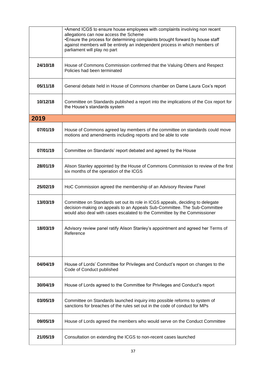|          | •Amend ICGS to ensure house employees with complaints involving non recent<br>allegations can now access the Scheme<br>•Ensure the process for determining complaints brought forward by house staff<br>against members will be entirely an independent process in which members of<br>parliament will play no part |
|----------|---------------------------------------------------------------------------------------------------------------------------------------------------------------------------------------------------------------------------------------------------------------------------------------------------------------------|
| 24/10/18 | House of Commons Commission confirmed that the Valuing Others and Respect<br>Policies had been terminated                                                                                                                                                                                                           |
| 05/11/18 | General debate held in House of Commons chamber on Dame Laura Cox's report                                                                                                                                                                                                                                          |
| 10/12/18 | Committee on Standards published a report into the implications of the Cox report for<br>the House's standards system                                                                                                                                                                                               |
| 2019     |                                                                                                                                                                                                                                                                                                                     |
| 07/01/19 | House of Commons agreed lay members of the committee on standards could move<br>motions and amendments including reports and be able to vote                                                                                                                                                                        |
| 07/01/19 | Committee on Standards' report debated and agreed by the House                                                                                                                                                                                                                                                      |
| 28/01/19 | Alison Stanley appointed by the House of Commons Commission to review of the first<br>six months of the operation of the ICGS                                                                                                                                                                                       |
| 25/02/19 | HoC Commission agreed the membership of an Advisory Review Panel                                                                                                                                                                                                                                                    |
| 13/03/19 | Committee on Standards set out its role in ICGS appeals, deciding to delegate<br>decision-making on appeals to an Appeals Sub-Committee. The Sub-Committee<br>would also deal with cases escalated to the Committee by the Commissioner                                                                             |
| 18/03/19 | Advisory review panel ratify Alison Stanley's appointment and agreed her Terms of<br>Reference                                                                                                                                                                                                                      |
| 04/04/19 | House of Lords' Committee for Privileges and Conduct's report on changes to the<br>Code of Conduct published                                                                                                                                                                                                        |
| 30/04/19 | House of Lords agreed to the Committee for Privileges and Conduct's report                                                                                                                                                                                                                                          |
| 03/05/19 | Committee on Standards launched inquiry into possible reforms to system of<br>sanctions for breaches of the rules set out in the code of conduct for MPs                                                                                                                                                            |
| 09/05/19 | House of Lords agreed the members who would serve on the Conduct Committee                                                                                                                                                                                                                                          |
| 21/05/19 | Consultation on extending the ICGS to non-recent cases launched                                                                                                                                                                                                                                                     |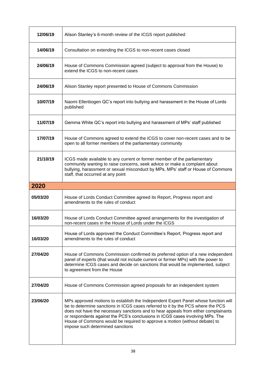| 12/06/19 | Alison Stanley's 6-month review of the ICGS report published                                                                                                                                                                                                                           |
|----------|----------------------------------------------------------------------------------------------------------------------------------------------------------------------------------------------------------------------------------------------------------------------------------------|
| 14/06/19 | Consultation on extending the ICGS to non-recent cases closed                                                                                                                                                                                                                          |
| 24/06/19 | House of Commons Commission agreed (subject to approval from the House) to<br>extend the ICGS to non-recent cases                                                                                                                                                                      |
| 24/06/19 | Alison Stanley report presented to House of Commons Commission                                                                                                                                                                                                                         |
| 10/07/19 | Naomi Ellenbogen QC's report into bullying and harassment in the House of Lords<br>published                                                                                                                                                                                           |
| 11/07/19 | Gemma White QC's report into bullying and harassment of MPs' staff published                                                                                                                                                                                                           |
| 17/07/19 | House of Commons agreed to extend the ICGS to cover non-recent cases and to be<br>open to all former members of the parliamentary community                                                                                                                                            |
| 21/10/19 | ICGS made available to any current or former member of the parliamentary<br>community wanting to raise concerns, seek advice or make a complaint about<br>bullying, harassment or sexual misconduct by MPs, MPs' staff or House of Commons<br>staff, that occurred at any point        |
| 2020     |                                                                                                                                                                                                                                                                                        |
|          |                                                                                                                                                                                                                                                                                        |
| 05/03/20 | House of Lords Conduct Committee agreed its Report, Progress report and<br>amendments to the rules of conduct                                                                                                                                                                          |
| 16/03/20 | House of Lords Conduct Committee agreed arrangements for the investigation of<br>non-recent cases in the House of Lords under the ICGS                                                                                                                                                 |
| 16/03/20 | House of Lords approved the Conduct Committee's Report, Progress report and<br>amendments to the rules of conduct                                                                                                                                                                      |
| 27/04/20 | House of Commons Commission confirmed its preferred option of a new independent<br>panel of experts (that would not include current or former MPs) with the power to<br>determine ICGS cases and decide on sanctions that would be implemented, subject<br>to agreement from the House |
| 27/04/20 | House of Commons Commission agreed proposals for an independent system                                                                                                                                                                                                                 |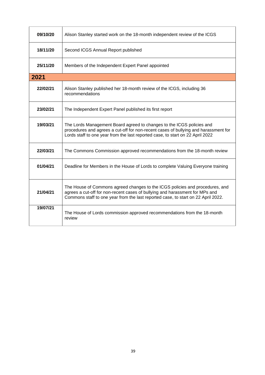| 09/10/20 | Alison Stanley started work on the 18-month independent review of the ICGS                                                                                                                                                                        |
|----------|---------------------------------------------------------------------------------------------------------------------------------------------------------------------------------------------------------------------------------------------------|
| 18/11/20 | Second ICGS Annual Report published                                                                                                                                                                                                               |
| 25/11/20 | Members of the Independent Expert Panel appointed                                                                                                                                                                                                 |
| 2021     |                                                                                                                                                                                                                                                   |
| 22/02/21 | Alison Stanley published her 18-month review of the ICGS, including 36<br>recommendations                                                                                                                                                         |
| 23/02/21 | The Independent Expert Panel published its first report                                                                                                                                                                                           |
| 19/03/21 | The Lords Management Board agreed to changes to the ICGS policies and<br>procedures and agrees a cut-off for non-recent cases of bullying and harassment for<br>Lords staff to one year from the last reported case, to start on 22 April 2022    |
| 22/03/21 | The Commons Commission approved recommendations from the 18-month review                                                                                                                                                                          |
| 01/04/21 | Deadline for Members in the House of Lords to complete Valuing Everyone training                                                                                                                                                                  |
| 21/04/21 | The House of Commons agreed changes to the ICGS policies and procedures, and<br>agrees a cut-off for non-recent cases of bullying and harassment for MPs and<br>Commons staff to one year from the last reported case, to start on 22 April 2022. |
| 19/07/21 | The House of Lords commission approved recommendations from the 18-month<br>review                                                                                                                                                                |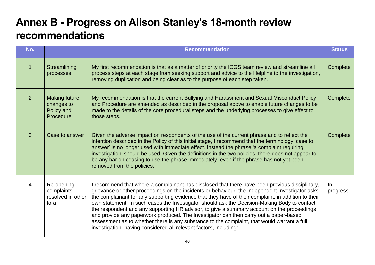# **Annex B - Progress on Alison Stanley's 18-month review recommendations**

| No.         |                                                               | <b>Recommendation</b>                                                                                                                                                                                                                                                                                                                                                                                                                                                                                                                                                                                                                                                                                                                                               | <b>Status</b>     |
|-------------|---------------------------------------------------------------|---------------------------------------------------------------------------------------------------------------------------------------------------------------------------------------------------------------------------------------------------------------------------------------------------------------------------------------------------------------------------------------------------------------------------------------------------------------------------------------------------------------------------------------------------------------------------------------------------------------------------------------------------------------------------------------------------------------------------------------------------------------------|-------------------|
| $\mathbf 1$ | Streamlining<br>processes                                     | My first recommendation is that as a matter of priority the ICGS team review and streamline all<br>process steps at each stage from seeking support and advice to the Helpline to the investigation,<br>removing duplication and being clear as to the purpose of each step taken.                                                                                                                                                                                                                                                                                                                                                                                                                                                                                  | Complete          |
| 2           | <b>Making future</b><br>changes to<br>Policy and<br>Procedure | My recommendation is that the current Bullying and Harassment and Sexual Misconduct Policy<br>and Procedure are amended as described in the proposal above to enable future changes to be<br>made to the details of the core procedural steps and the underlying processes to give effect to<br>those steps.                                                                                                                                                                                                                                                                                                                                                                                                                                                        | Complete          |
| 3           | Case to answer                                                | Given the adverse impact on respondents of the use of the current phrase and to reflect the<br>intention described in the Policy of this initial stage, I recommend that the terminology 'case to<br>answer' is no longer used with immediate effect. Instead the phrase 'a complaint requiring<br>investigation' should be used. Given the definitions in the two policies, there does not appear to<br>be any bar on ceasing to use the phrase immediately, even if the phrase has not yet been<br>removed from the policies.                                                                                                                                                                                                                                     | Complete          |
| 4           | Re-opening<br>complaints<br>resolved in other<br>fora         | I recommend that where a complainant has disclosed that there have been previous disciplinary,<br>grievance or other proceedings on the incidents or behaviour, the Independent Investigator asks<br>the complainant for any supporting evidence that they have of their complaint, in addition to their<br>own statement. In such cases the Investigator should ask the Decision-Making Body to contact<br>the respondent and any supporting HR advisor, to give a summary account on the proceedings<br>and provide any paperwork produced. The Investigator can then carry out a paper-based<br>assessment as to whether there is any substance to the complaint, that would warrant a full<br>investigation, having considered all relevant factors, including: | $\ln$<br>progress |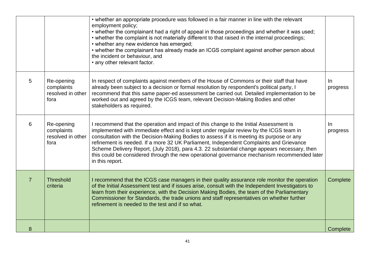|                |                                                       | • whether an appropriate procedure was followed in a fair manner in line with the relevant<br>employment policy;<br>• whether the complainant had a right of appeal in those proceedings and whether it was used;<br>• whether the complaint is not materially different to that raised in the internal proceedings;                                                                                                                                                                                                                                                                      |                   |
|----------------|-------------------------------------------------------|-------------------------------------------------------------------------------------------------------------------------------------------------------------------------------------------------------------------------------------------------------------------------------------------------------------------------------------------------------------------------------------------------------------------------------------------------------------------------------------------------------------------------------------------------------------------------------------------|-------------------|
|                |                                                       | • whether any new evidence has emerged;<br>• whether the complainant has already made an ICGS complaint against another person about<br>the incident or behaviour, and<br>• any other relevant factor.                                                                                                                                                                                                                                                                                                                                                                                    |                   |
| 5              | Re-opening<br>complaints<br>resolved in other<br>fora | In respect of complaints against members of the House of Commons or their staff that have<br>already been subject to a decision or formal resolution by respondent's political party, I<br>recommend that this same paper-ed assessment be carried out. Detailed implementation to be<br>worked out and agreed by the ICGS team, relevant Decision-Making Bodies and other<br>stakeholders as required.                                                                                                                                                                                   | $\ln$<br>progress |
| 6              | Re-opening<br>complaints<br>resolved in other<br>fora | I recommend that the operation and impact of this change to the Initial Assessment is<br>implemented with immediate effect and is kept under regular review by the ICGS team in<br>consultation with the Decision-Making Bodies to assess if it is meeting its purpose or any<br>refinement is needed. If a more 32 UK Parliament, Independent Complaints and Grievance<br>Scheme Delivery Report, (July 2018), para 4.3. 22 substantial change appears necessary, then<br>this could be considered through the new operational governance mechanism recommended later<br>in this report. | $\ln$<br>progress |
| $\overline{7}$ | <b>Threshold</b><br>criteria                          | I recommend that the ICGS case managers in their quality assurance role monitor the operation<br>of the Initial Assessment test and if issues arise, consult with the Independent Investigators to<br>learn from their experience, with the Decision Making Bodies, the team of the Parliamentary<br>Commissioner for Standards, the trade unions and staff representatives on whether further<br>refinement is needed to the test and if so what.                                                                                                                                        | Complete          |
| 8              |                                                       |                                                                                                                                                                                                                                                                                                                                                                                                                                                                                                                                                                                           | Complete          |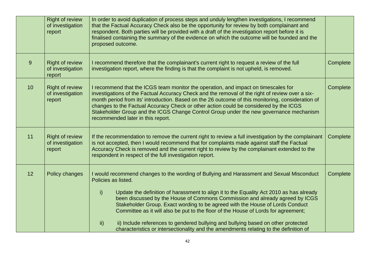|    | <b>Right of review</b><br>of investigation<br>report | In order to avoid duplication of process steps and unduly lengthen investigations, I recommend<br>that the Factual Accuracy Check also be the opportunity for review by both complainant and<br>respondent. Both parties will be provided with a draft of the investigation report before it is<br>finalised containing the summary of the evidence on which the outcome will be founded and the<br>proposed outcome.                                                                                                                                                                                                                                                             |          |
|----|------------------------------------------------------|-----------------------------------------------------------------------------------------------------------------------------------------------------------------------------------------------------------------------------------------------------------------------------------------------------------------------------------------------------------------------------------------------------------------------------------------------------------------------------------------------------------------------------------------------------------------------------------------------------------------------------------------------------------------------------------|----------|
| 9  | <b>Right of review</b><br>of investigation<br>report | I recommend therefore that the complainant's current right to request a review of the full<br>investigation report, where the finding is that the complaint is not upheld, is removed.                                                                                                                                                                                                                                                                                                                                                                                                                                                                                            | Complete |
| 10 | <b>Right of review</b><br>of investigation<br>report | I recommend that the ICGS team monitor the operation, and impact on timescales for<br>investigations of the Factual Accuracy Check and the removal of the right of review over a six-<br>month period from its' introduction. Based on the 26 outcome of this monitoring, consideration of<br>changes to the Factual Accuracy Check or other action could be considered by the ICGS<br>Stakeholder Group and the ICGS Change Control Group under the new governance mechanism<br>recommended later in this report.                                                                                                                                                                | Complete |
| 11 | <b>Right of review</b><br>of investigation<br>report | If the recommendation to remove the current right to review a full investigation by the complainant<br>is not accepted, then I would recommend that for complaints made against staff the Factual<br>Accuracy Check is removed and the current right to review by the complainant extended to the<br>respondent in respect of the full investigation report.                                                                                                                                                                                                                                                                                                                      | Complete |
| 12 | Policy changes                                       | I would recommend changes to the wording of Bullying and Harassment and Sexual Misconduct<br>Policies as listed.<br>Update the definition of harassment to align it to the Equality Act 2010 as has already<br>$\mathsf{i}$<br>been discussed by the House of Commons Commission and already agreed by ICGS<br>Stakeholder Group. Exact wording to be agreed with the House of Lords Conduct<br>Committee as it will also be put to the floor of the House of Lords for agreement;<br>ii) Include references to gendered bullying and bullying based on other protected<br>$\mathsf{ii}$<br>characteristics or intersectionality and the amendments relating to the definition of | Complete |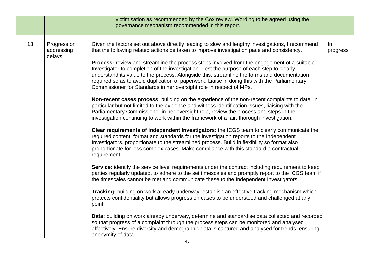|    |                                     | victimisation as recommended by the Cox review. Wording to be agreed using the<br>governance mechanism recommended in this report.                                                                                                                                                                                                                                                                                                                                                                                                                                                                                                                                                                                                                                                                                                                                                                                                                                                                                                                                                                                                                                                                                                                                                                                                                                                                                                                                                                                                                                                                                                                                                                                                                                                                                                                                                                                                                                                                                                                                                                                                                                                                                                                                                                      |                 |
|----|-------------------------------------|---------------------------------------------------------------------------------------------------------------------------------------------------------------------------------------------------------------------------------------------------------------------------------------------------------------------------------------------------------------------------------------------------------------------------------------------------------------------------------------------------------------------------------------------------------------------------------------------------------------------------------------------------------------------------------------------------------------------------------------------------------------------------------------------------------------------------------------------------------------------------------------------------------------------------------------------------------------------------------------------------------------------------------------------------------------------------------------------------------------------------------------------------------------------------------------------------------------------------------------------------------------------------------------------------------------------------------------------------------------------------------------------------------------------------------------------------------------------------------------------------------------------------------------------------------------------------------------------------------------------------------------------------------------------------------------------------------------------------------------------------------------------------------------------------------------------------------------------------------------------------------------------------------------------------------------------------------------------------------------------------------------------------------------------------------------------------------------------------------------------------------------------------------------------------------------------------------------------------------------------------------------------------------------------------------|-----------------|
| 13 | Progress on<br>addressing<br>delays | Given the factors set out above directly leading to slow and lengthy investigations, I recommend<br>that the following related actions be taken to improve investigation pace and consistency.<br><b>Process:</b> review and streamline the process steps involved from the engagement of a suitable<br>Investigator to completion of the investigation. Test the purpose of each step to clearly<br>understand its value to the process. Alongside this, streamline the forms and documentation<br>required so as to avoid duplication of paperwork. Liaise in doing this with the Parliamentary<br>Commissioner for Standards in her oversight role in respect of MPs.<br>Non-recent cases process: building on the experience of the non-recent complaints to date, in<br>particular but not limited to the evidence and witness identification issues, liaising with the<br>Parliamentary Commissioner in her oversight role, review the process and steps in the<br>investigation continuing to work within the framework of a fair, thorough investigation.<br>Clear requirements of Independent Investigators: the ICGS team to clearly communicate the<br>required content, format and standards for the investigation reports to the Independent<br>Investigators, proportionate to the streamlined process. Build in flexibility so format also<br>proportionate for less complex cases. Make compliance with this standard a contractual<br>requirement.<br>Service: identify the service level requirements under the contract including requirement to keep<br>parties regularly updated, to adhere to the set timescales and promptly report to the ICGS team if<br>the timescales cannot be met and communicate these to the Independent Investigators.<br>Tracking: building on work already underway, establish an effective tracking mechanism which<br>protects confidentiality but allows progress on cases to be understood and challenged at any<br>point.<br>Data: building on work already underway, determine and standardise data collected and recorded<br>so that progress of a complaint through the process steps can be monitored and analysed<br>effectively. Ensure diversity and demographic data is captured and analysed for trends, ensuring<br>anonymity of data. | In.<br>progress |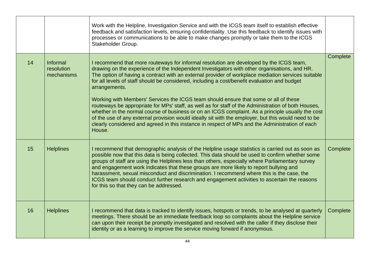|    |                                      | Work with the Helpline, Investigation Service and with the ICGS team itself to establish effective<br>feedback and satisfaction levels, ensuring confidentiality. Use this feedback to identify issues with<br>processes or communications to be able to make changes promptly or take them to the ICGS<br>Stakeholder Group.                                                                                                                                                                                                                                                                                                                                                                                                                                                                                                                                                                                                          |          |
|----|--------------------------------------|----------------------------------------------------------------------------------------------------------------------------------------------------------------------------------------------------------------------------------------------------------------------------------------------------------------------------------------------------------------------------------------------------------------------------------------------------------------------------------------------------------------------------------------------------------------------------------------------------------------------------------------------------------------------------------------------------------------------------------------------------------------------------------------------------------------------------------------------------------------------------------------------------------------------------------------|----------|
| 14 | Informal<br>resolution<br>mechanisms | I recommend that more routeways for informal resolution are developed by the ICGS team,<br>drawing on the experience of the Independent Investigators with other organisations, and HR.<br>The option of having a contract with an external provider of workplace mediation services suitable<br>for all levels of staff should be considered, including a cost/benefit evaluation and budget<br>arrangements.<br>Working with Members' Services the ICGS team should ensure that some or all of these<br>routeways be appropriate for MPs' staff, as well as for staff of the Administration of both Houses,<br>whether in the normal course of business or on an ICGS complaint. As a principle usually the cost<br>of the use of any external provision would ideally sit with the employer, but this would need to be<br>clearly considered and agreed in this instance in respect of MPs and the Administration of each<br>House. | Complete |
| 15 | <b>Helplines</b>                     | I recommend that demographic analysis of the Helpline usage statistics is carried out as soon as<br>possible now that this data is being collected. This data should be used to confirm whether some<br>groups of staff are using the Helplines less than others, especially where Parliamentary survey<br>and engagement work indicates that these groups are more likely to report bullying and<br>harassment, sexual misconduct and discrimination. I recommend where this is the case, the<br>ICGS team should conduct further research and engagement activities to ascertain the reasons<br>for this so that they can be addressed.                                                                                                                                                                                                                                                                                              | Complete |
| 16 | <b>Helplines</b>                     | I recommend that data is tracked to identify issues, hotspots or trends, to be analysed at quarterly<br>meetings. There should be an immediate feedback loop so complaints about the Helpline service<br>can upon their receipt be promptly investigated and resolved with the caller if they disclose their<br>identity or as a learning to improve the service moving forward if anonymous.                                                                                                                                                                                                                                                                                                                                                                                                                                                                                                                                          | Complete |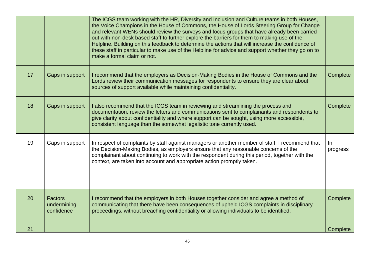|    |                                             | The ICGS team working with the HR, Diversity and Inclusion and Culture teams in both Houses,<br>the Voice Champions in the House of Commons, the House of Lords Steering Group for Change<br>and relevant WENs should review the surveys and focus groups that have already been carried<br>out with non-desk based staff to further explore the barriers for them to making use of the<br>Helpline. Building on this feedback to determine the actions that will increase the confidence of<br>these staff in particular to make use of the Helpline for advice and support whether they go on to<br>make a formal claim or not. |                   |
|----|---------------------------------------------|-----------------------------------------------------------------------------------------------------------------------------------------------------------------------------------------------------------------------------------------------------------------------------------------------------------------------------------------------------------------------------------------------------------------------------------------------------------------------------------------------------------------------------------------------------------------------------------------------------------------------------------|-------------------|
| 17 | Gaps in support                             | I recommend that the employers as Decision-Making Bodies in the House of Commons and the<br>Lords review their communication messages for respondents to ensure they are clear about<br>sources of support available while maintaining confidentiality.                                                                                                                                                                                                                                                                                                                                                                           | Complete          |
| 18 | Gaps in support                             | I also recommend that the ICGS team in reviewing and streamlining the process and<br>documentation, review the letters and communications sent to complainants and respondents to<br>give clarity about confidentiality and where support can be sought, using more accessible,<br>consistent language than the somewhat legalistic tone currently used.                                                                                                                                                                                                                                                                          | Complete          |
| 19 | Gaps in support                             | In respect of complaints by staff against managers or another member of staff, I recommend that<br>the Decision-Making Bodies, as employers ensure that any reasonable concerns of the<br>complainant about continuing to work with the respondent during this period, together with the<br>context, are taken into account and appropriate action promptly taken.                                                                                                                                                                                                                                                                | $\ln$<br>progress |
| 20 | <b>Factors</b><br>undermining<br>confidence | I recommend that the employers in both Houses together consider and agree a method of<br>communicating that there have been consequences of upheld ICGS complaints in disciplinary<br>proceedings, without breaching confidentiality or allowing individuals to be identified.                                                                                                                                                                                                                                                                                                                                                    | Complete          |
| 21 |                                             |                                                                                                                                                                                                                                                                                                                                                                                                                                                                                                                                                                                                                                   | Complete          |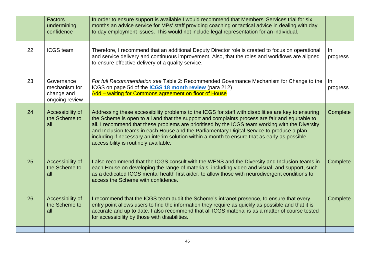|    | Factors<br>undermining<br>confidence                        | In order to ensure support is available I would recommend that Members' Services trial for six<br>months an advice service for MPs' staff providing coaching or tactical advice in dealing with day<br>to day employment issues. This would not include legal representation for an individual.                                                                                                                                                                                                                                                   |                |
|----|-------------------------------------------------------------|---------------------------------------------------------------------------------------------------------------------------------------------------------------------------------------------------------------------------------------------------------------------------------------------------------------------------------------------------------------------------------------------------------------------------------------------------------------------------------------------------------------------------------------------------|----------------|
| 22 | <b>ICGS</b> team                                            | Therefore, I recommend that an additional Deputy Director role is created to focus on operational<br>and service delivery and continuous improvement. Also, that the roles and workflows are aligned<br>to ensure effective delivery of a quality service.                                                                                                                                                                                                                                                                                        | In<br>progress |
| 23 | Governance<br>mechanism for<br>change and<br>ongoing review | For full Recommendation see Table 2: Recommended Governance Mechanism for Change to the<br>ICGS on page 54 of the <b>ICGS 18 month review</b> (para 212)<br>Add – waiting for Commons agreement on floor of House                                                                                                                                                                                                                                                                                                                                 | In<br>progress |
| 24 | Accessibility of<br>the Scheme to<br>all                    | Addressing these accessibility problems to the ICGS for staff with disabilities are key to ensuring<br>the Scheme is open to all and that the support and complaints process are fair and equitable to<br>all. I recommend that these problems are prioritised by the ICGS team working with the Diversity<br>and Inclusion teams in each House and the Parliamentary Digital Service to produce a plan<br>including if necessary an interim solution within a month to ensure that as early as possible<br>accessibility is routinely available. | Complete       |
| 25 | Accessibility of<br>the Scheme to<br>all                    | I also recommend that the ICGS consult with the WENS and the Diversity and Inclusion teams in<br>each House on developing the range of materials, including video and visual, and support, such<br>as a dedicated ICGS mental health first aider, to allow those with neurodivergent conditions to<br>access the Scheme with confidence.                                                                                                                                                                                                          | Complete       |
| 26 | Accessibility of<br>the Scheme to<br>all                    | I recommend that the ICGS team audit the Scheme's intranet presence, to ensure that every<br>entry point allows users to find the information they require as quickly as possible and that it is<br>accurate and up to date. I also recommend that all ICGS material is as a matter of course tested<br>for accessibility by those with disabilities.                                                                                                                                                                                             | Complete       |
|    |                                                             |                                                                                                                                                                                                                                                                                                                                                                                                                                                                                                                                                   |                |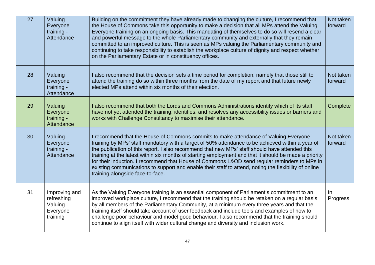| $\overline{27}$ | Valuing<br>Everyone<br>training -<br>Attendance                | Building on the commitment they have already made to changing the culture, I recommend that<br>the House of Commons take this opportunity to make a decision that all MPs attend the Valuing<br>Everyone training on an ongoing basis. This mandating of themselves to do so will resend a clear<br>and powerful message to the whole Parliamentary community and externally that they remain<br>committed to an improved culture. This is seen as MPs valuing the Parliamentary community and<br>continuing to take responsibility to establish the workplace culture of dignity and respect whether<br>on the Parliamentary Estate or in constituency offices. | Not taken<br>forward |
|-----------------|----------------------------------------------------------------|------------------------------------------------------------------------------------------------------------------------------------------------------------------------------------------------------------------------------------------------------------------------------------------------------------------------------------------------------------------------------------------------------------------------------------------------------------------------------------------------------------------------------------------------------------------------------------------------------------------------------------------------------------------|----------------------|
| 28              | Valuing<br>Everyone<br>training -<br>Attendance                | I also recommend that the decision sets a time period for completion, namely that those still to<br>attend the training do so within three months from the date of my report and that future newly<br>elected MPs attend within six months of their election.                                                                                                                                                                                                                                                                                                                                                                                                    | Not taken<br>forward |
| 29              | Valuing<br>Everyone<br>training -<br>Attendance                | I also recommend that both the Lords and Commons Administrations identify which of its staff<br>have not yet attended the training, identifies, and resolves any accessibility issues or barriers and<br>works with Challenge Consultancy to maximise their attendance.                                                                                                                                                                                                                                                                                                                                                                                          | Complete             |
| 30              | Valuing<br>Everyone<br>training -<br>Attendance                | I recommend that the House of Commons commits to make attendance of Valuing Everyone<br>training by MPs' staff mandatory with a target of 50% attendance to be achieved within a year of<br>the publication of this report. I also recommend that new MPs' staff should have attended this<br>training at the latest within six months of starting employment and that it should be made a priority<br>for their induction. I recommend that House of Commons L&OD send regular reminders to MPs in<br>existing communications to support and enable their staff to attend, noting the flexibility of online<br>training alongside face-to-face.                 | Not taken<br>forward |
| 31              | Improving and<br>refreshing<br>Valuing<br>Everyone<br>training | As the Valuing Everyone training is an essential component of Parliament's commitment to an<br>improved workplace culture, I recommend that the training should be retaken on a regular basis<br>by all members of the Parliamentary Community, at a minimum every three years and that the<br>training itself should take account of user feedback and include tools and examples of how to<br>challenge poor behaviour and model good behaviour. I also recommend that the training should<br>continue to align itself with wider cultural change and diversity and inclusion work.                                                                            | In<br>Progress       |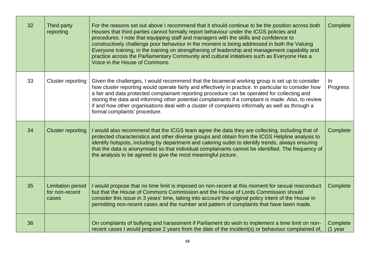| 32 | Third party<br>reporting                            | For the reasons set out above I recommend that it should continue to be the position across both<br>Houses that third parties cannot formally report behaviour under the ICGS policies and<br>procedures. I note that equipping staff and managers with the skills and confidence to<br>constructively challenge poor behaviour in the moment is being addressed in both the Valuing<br>Everyone training, in the training on strengthening of leadership and management capability and<br>practice across the Parliamentary Community and cultural initiatives such as Everyone Has a<br>Voice in the House of Commons. | Complete              |
|----|-----------------------------------------------------|--------------------------------------------------------------------------------------------------------------------------------------------------------------------------------------------------------------------------------------------------------------------------------------------------------------------------------------------------------------------------------------------------------------------------------------------------------------------------------------------------------------------------------------------------------------------------------------------------------------------------|-----------------------|
| 33 | Cluster reporting                                   | Given the challenges, I would recommend that the bicameral working group is set up to consider<br>how cluster reporting would operate fairly and effectively in practice. In particular to consider how<br>a fair and data protected complainant reporting procedure can be operated for collecting and<br>storing the data and informing other potential complainants if a complaint is made. Also, to review<br>if and how other organisations deal with a cluster of complaints informally as well as through a<br>formal complaints' procedure.                                                                      | In<br>Progress        |
| 34 | <b>Cluster reporting</b>                            | I would also recommend that the ICGS team agree the data they are collecting, including that of<br>protected characteristics and other diverse groups and obtain from the ICGS Helpline analysis to<br>identify hotspots, including by department and catering outlet to identify trends, always ensuring<br>that the data is anonymised so that individual complainants cannot be identified. The frequency of<br>the analysis to be agreed to give the most meaningful picture.                                                                                                                                        | Complete              |
| 35 | <b>Limitation period</b><br>for non-recent<br>cases | I would propose that no time limit is imposed on non-recent at this moment for sexual misconduct<br>but that the House of Commons Commission and the House of Lords Commission should<br>consider this issue in 3 years' time, taking into account the original policy intent of the House in<br>permitting non-recent cases and the number and pattern of complaints that have been made.                                                                                                                                                                                                                               | Complete              |
| 36 |                                                     | On complaints of bullying and harassment if Parliament do wish to implement a time limit on non-<br>recent cases I would propose 2 years from the date of the incident(s) or behaviour complained of,                                                                                                                                                                                                                                                                                                                                                                                                                    | Complete<br>$(1$ year |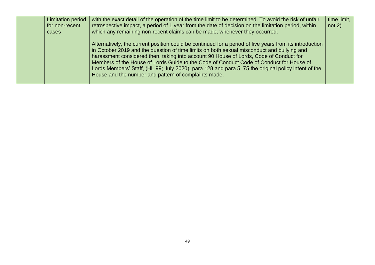| <b>Limitation period</b><br>for non-recent<br>cases | with the exact detail of the operation of the time limit to be determined. To avoid the risk of unfair<br>retrospective impact, a period of 1 year from the date of decision on the limitation period, within<br>which any remaining non-recent claims can be made, whenever they occurred.                                                                                                                                                                                                                                                              | time limit,<br>not $2)$ |
|-----------------------------------------------------|----------------------------------------------------------------------------------------------------------------------------------------------------------------------------------------------------------------------------------------------------------------------------------------------------------------------------------------------------------------------------------------------------------------------------------------------------------------------------------------------------------------------------------------------------------|-------------------------|
|                                                     | Alternatively, the current position could be continued for a period of five years from its introduction<br>in October 2019 and the question of time limits on both sexual misconduct and bullying and<br>harassment considered then, taking into account 90 House of Lords, Code of Conduct for<br>Members of the House of Lords Guide to the Code of Conduct Code of Conduct for House of<br>Lords Members' Staff, (HL 99; July 2020), para 128 and para 5.75 the original policy intent of the<br>House and the number and pattern of complaints made. |                         |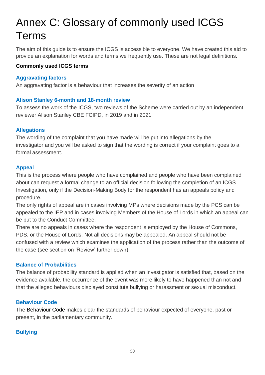# Annex C: Glossary of commonly used ICGS Terms

The aim of this guide is to ensure the ICGS is accessible to everyone. We have created this aid to provide an explanation for words and terms we frequently use. These are not legal definitions.

## **Commonly used ICGS terms**

## **Aggravating factors**

An aggravating factor is a behaviour that increases the severity of an action

## **Alison Stanley 6-month and 18-month review**

To assess the work of the ICGS, two reviews of the Scheme were carried out by an independent reviewer Alison Stanley CBE FCIPD, in 2019 and in 2021

## **Allegations**

The wording of the complaint that you have made will be put into allegations by the investigator and you will be asked to sign that the wording is correct if your complaint goes to a formal assessment.

## **Appeal**

This is the process where people who have complained and people who have been complained about can request a formal change to an official decision following the completion of an ICGS Investigation, only if the Decision-Making Body for the respondent has an appeals policy and procedure.

The only rights of appeal are in cases involving MPs where decisions made by the PCS can be appealed to the IEP and in cases involving Members of the House of Lords in which an appeal can be put to the Conduct Committee.

There are no appeals in cases where the respondent is employed by the House of Commons, PDS, or the House of Lords. Not all decisions may be appealed. An appeal should not be confused with a review which examines the application of the process rather than the outcome of the case (see section on 'Review' further down)

## **Balance of Probabilities**

The balance of probability standard is applied when an investigator is satisfied that, based on the evidence available, the occurrence of the event was more likely to have happened than not and that the alleged behaviours displayed constitute bullying or harassment or sexual misconduct.

## **Behaviour Code**

The Behaviour Code makes clear the standards of behaviour expected of everyone, past or present, in the parliamentary community.

# **Bullying**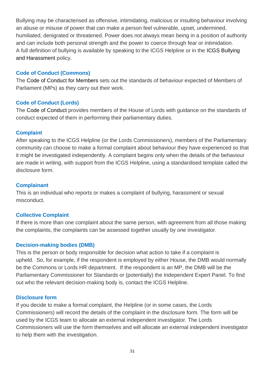Bullying may be characterised as offensive, intimidating, malicious or insulting behaviour involving an abuse or misuse of power that can make a person feel vulnerable, upset, undermined, humiliated, denigrated or threatened. Power does not always mean being in a position of authority and can include both personal strength and the power to coerce through fear or intimidation. A full definition of bullying is available by speaking to the ICGS Helpline or in the ICGS Bullying and Harassment policy.

## **Code of Conduct (Commons)**

The Code of Conduct for Members sets out the standards of behaviour expected of Members of Parliament (MPs) as they carry out their work.

## **Code of Conduct (Lords)**

The Code of Conduct provides members of the House of Lords with guidance on the standards of conduct expected of them in performing their parliamentary duties.

## **Complaint**

After speaking to the ICGS Helpline (or the Lords Commissioners), members of the Parliamentary community can choose to make a formal complaint about behaviour they have experienced so that it might be investigated independently. A complaint begins only when the details of the behaviour are made in writing, with support from the ICGS Helpline, using a standardised template called the disclosure form.

## **Complainant**

This is an individual who reports or makes a complaint of bullying, harassment or sexual misconduct.

## **Collective Complaint**

If there is more than one complaint about the same person, with agreement from all those making the complaints, the complaints can be assessed together usually by one investigator.

## **Decision-making bodies (DMB)**

This is the person or body responsible for decision what action to take if a complaint is upheld. So, for example, if the respondent is employed by either House, the DMB would normally be the Commons or Lords HR department. If the respondent is an MP, the DMB will be the Parliamentary Commissioner for Standards or (potentially) the Independent Expert Panel. To find out who the relevant decision-making body is, contact the ICGS Helpline.

## **Disclosure form**

If you decide to make a formal complaint, the Helpline (or in some cases, the Lords Commissioners) will record the details of the complaint in the disclosure form. The form will be used by the ICGS team to allocate an external independent investigator. The Lords Commissioners will use the form themselves and will allocate an external independent investigator to help them with the investigation.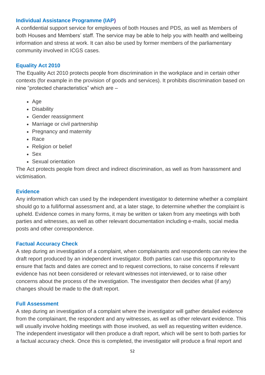## **Individual Assistance Programme (IAP)**

A confidential support service for employees of both Houses and PDS, as well as Members of both Houses and Members' staff. The service may be able to help you with health and wellbeing information and stress at work. It can also be used by former members of the parliamentary community involved in ICGS cases.

## **Equality Act 2010**

The Equality Act 2010 protects people from discrimination in the workplace and in certain other contexts (for example in the provision of goods and services). It prohibits discrimination based on nine "protected characteristics" which are –

- Age
- Disability
- Gender reassignment
- Marriage or civil partnership
- Pregnancy and maternity
- Race
- Religion or belief
- Sex
- Sexual orientation

The Act protects people from direct and indirect discrimination, as well as from harassment and victimisation.

## **Evidence**

Any information which can used by the independent investigator to determine whether a complaint should go to a full/formal assessment and, at a later stage, to determine whether the complaint is upheld. Evidence comes in many forms, it may be written or taken from any meetings with both parties and witnesses, as well as other relevant documentation including e-mails, social media posts and other correspondence.

## **Factual Accuracy Check**

A step during an investigation of a complaint, when complainants and respondents can review the draft report produced by an independent investigator. Both parties can use this opportunity to ensure that facts and dates are correct and to request corrections, to raise concerns if relevant evidence has not been considered or relevant witnesses not interviewed, or to raise other concerns about the process of the investigation. The investigator then decides what (if any) changes should be made to the draft report.

#### **Full Assessment**

A step during an investigation of a complaint where the investigator will gather detailed evidence from the complainant, the respondent and any witnesses, as well as other relevant evidence. This will usually involve holding meetings with those involved, as well as requesting written evidence. The independent investigator will then produce a draft report, which will be sent to both parties for a factual accuracy check. Once this is completed, the investigator will produce a final report and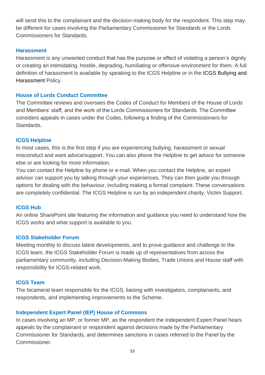will send this to the complainant and the decision-making body for the respondent. This step may be different for cases involving the Parliamentary Commissioner for Standards or the Lords Commissioners for Standards.

#### **Harassment**

Harassment is any unwanted conduct that has the purpose or effect of violating a person's dignity or creating an intimidating, hostile, degrading, humiliating or offensive environment for them. A full definition of harassment is available by speaking to the ICGS Helpline or in the ICGS Bullying and Harassment Policy.

#### **House of Lords Conduct Committee**

The Committee reviews and oversees the Codes of Conduct for Members of the House of Lords and Members' staff, and the work of the Lords Commissioners for Standards. The Committee considers appeals in cases under the Codes, following a finding of the Commissioners for Standards.

#### **ICGS Helpline**

In most cases, this is the first step if you are experiencing bullying, harassment or sexual misconduct and want advice/support. You can also phone the Helpline to get advice for someone else or are looking for more information.

You can contact the Helpline by phone or e-mail. When you contact the Helpline, an expert advisor can support you by talking through your experiences. They can then guide you through options for dealing with the behaviour, including making a formal complaint. These conversations are completely confidential. The ICGS Helpline is run by an independent charity, Victim Support.

#### **ICGS Hub**

An online SharePoint site featuring the information and guidance you need to understand how the ICGS works and what support is available to you.

#### **ICGS Stakeholder Forum**

Meeting monthly to discuss latest developments, and to prove guidance and challenge to the ICGS team, the ICGS Stakeholder Forum is made up of representatives from across the parliamentary community, including Decision-Making Bodies, Trade Unions and House staff with responsibility for ICGS-related work.

#### **ICGS Team**

The bicameral team responsible for the ICGS, liaising with investigators, complainants, and respondents, and implementing improvements to the Scheme.

## **Independent Expert Panel (IEP) House of Commons**

In cases involving an MP, or former MP, as the respondent the Independent Expert Panel hears appeals by the complainant or respondent against decisions made by the Parliamentary Commissioner for Standards, and determines sanctions in cases referred to the Panel by the Commissioner.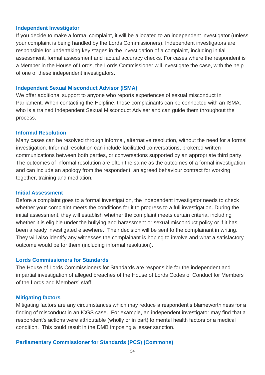#### **Independent Investigator**

If you decide to make a formal complaint, it will be allocated to an independent investigator (unless your complaint is being handled by the Lords Commissioners). Independent investigators are responsible for undertaking key stages in the investigation of a complaint, including initial assessment, formal assessment and factual accuracy checks. For cases where the respondent is a Member in the House of Lords, the Lords Commissioner will investigate the case, with the help of one of these independent investigators.

#### **Independent Sexual Misconduct Advisor (ISMA)**

We offer additional support to anyone who reports experiences of sexual misconduct in Parliament. When contacting the Helpline, those complainants can be connected with an ISMA, who is a trained Independent Sexual Misconduct Adviser and can guide them throughout the process.

#### **Informal Resolution**

Many cases can be resolved through informal, alternative resolution, without the need for a formal investigation. Informal resolution can include facilitated conversations, brokered written communications between both parties, or conversations supported by an appropriate third party. The outcomes of informal resolution are often the same as the outcomes of a formal investigation and can include an apology from the respondent, an agreed behaviour contract for working together, training and mediation.

#### **Initial Assessment**

Before a complaint goes to a formal investigation, the independent investigator needs to check whether your complaint meets the conditions for it to progress to a full investigation. During the initial assessment, they will establish whether the complaint meets certain criteria, including whether it is eligible under the bullying and harassment or sexual misconduct policy or if it has been already investigated elsewhere. Their decision will be sent to the complainant in writing. They will also identify any witnesses the complainant is hoping to involve and what a satisfactory outcome would be for them (including informal resolution).

#### **Lords Commissioners for Standards**

The House of Lords Commissioners for Standards are responsible for the independent and impartial investigation of alleged breaches of the House of Lords Codes of Conduct for Members of the Lords and Members' staff.

#### **Mitigating factors**

Mitigating factors are any circumstances which may reduce a respondent's blameworthiness for a finding of misconduct in an ICGS case. For example, an independent investigator may find that a respondent's actions were attributable (wholly or in part) to mental health factors or a medical condition. This could result in the DMB imposing a lesser sanction.

#### **Parliamentary Commissioner for Standards (PCS) (Commons)**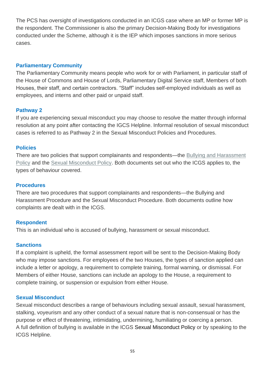The PCS has oversight of investigations conducted in an ICGS case where an MP or former MP is the respondent. The Commissioner is also the primary Decision-Making Body for investigations conducted under the Scheme, although it is the IEP which imposes sanctions in more serious cases.

## **Parliamentary Community**

The Parliamentary Community means people who work for or with Parliament, in particular staff of the House of Commons and House of Lords, Parliamentary Digital Service staff, Members of both Houses, their staff, and certain contractors. "Staff" includes self-employed individuals as well as employees, and interns and other paid or unpaid staff.

# **Pathway 2**

If you are experiencing sexual misconduct you may choose to resolve the matter through informal resolution at any point after contacting the IGCS Helpline. Informal resolution of sexual misconduct cases is referred to as Pathway 2 in the Sexual Misconduct Policies and Procedures.

#### **Policies**

There are two policies that support complainants and respondents—the [Bullying and Harassment](https://hopuk.sharepoint.com/sites/ICGSHub/Shared%20Documents/Forms/AllItems.aspx?id=/sites/ICGSHub/Shared%20Documents/ICGS%20Policies%20and%20Procedures/Bullying%20and%20Harassment%20Policy_FINAL.pdf&parent=/sites/ICGSHub/Shared%20Documents/ICGS%20Policies%20and%20Procedures)  [Policy](https://hopuk.sharepoint.com/sites/ICGSHub/Shared%20Documents/Forms/AllItems.aspx?id=/sites/ICGSHub/Shared%20Documents/ICGS%20Policies%20and%20Procedures/Bullying%20and%20Harassment%20Policy_FINAL.pdf&parent=/sites/ICGSHub/Shared%20Documents/ICGS%20Policies%20and%20Procedures) and the [Sexual Misconduct Policy.](https://www.parliament.uk/globalassets/documents/conduct-in-parliament/sexual-misconduct-policy2.pdf) Both documents set out who the ICGS applies to, the types of behaviour covered.

### **Procedures**

There are two procedures that support complainants and respondents—the Bullying and Harassment Procedure and the Sexual Misconduct Procedure. Both documents outline how complaints are dealt with in the ICGS.

## **Respondent**

This is an individual who is accused of bullying, harassment or sexual misconduct.

## **Sanctions**

If a complaint is upheld, the formal assessment report will be sent to the Decision-Making Body who may impose sanctions. For employees of the two Houses, the types of sanction applied can include a letter or apology, a requirement to complete training, formal warning, or dismissal. For Members of either House, sanctions can include an apology to the House, a requirement to complete training, or suspension or expulsion from either House.

#### **Sexual Misconduct**

Sexual misconduct describes a range of behaviours including sexual assault, sexual harassment, stalking, voyeurism and any other conduct of a sexual nature that is non-consensual or has the purpose or effect of threatening, intimidating, undermining, humiliating or coercing a person. A full definition of bullying is available in the ICGS Sexual Misconduct Policy or by speaking to the ICGS Helpline.